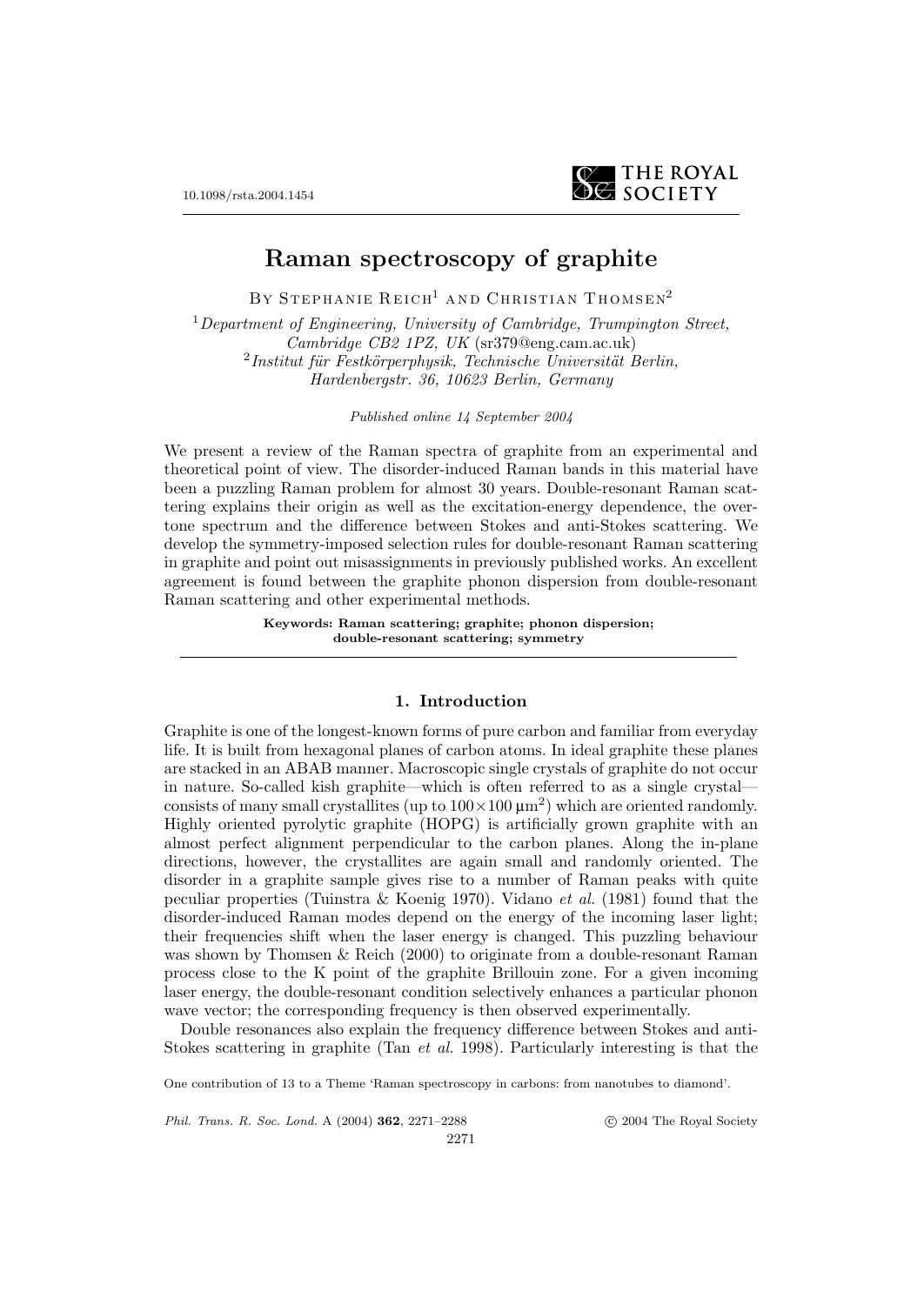

# **Raman spectroscopy of graphite**

BY STEPHANIE REICH<sup>1</sup> AND CHRISTIAN THOMSEN<sup>2</sup>

 $1$ Department of Engineering, University of Cambridge, Trumpington Street, Cambridge CB2 1PZ, UK (sr379@eng.cam.ac.uk)  $^{2}$ Institut für Festkörperphysik, Technische Universität Berlin, Hardenbergstr. 36, 10623 Berlin, Germany

Published online 14 September 2004

We present a review of the Raman spectra of graphite from an experimental and theoretical point of view. The disorder-induced Raman bands in this material have been a puzzling Raman problem for almost 30 years. Double-resonant Raman scattering explains their origin as well as the excitation-energy dependence, the overtone spectrum and the difference between Stokes and anti-Stokes scattering. We develop the symmetry-imposed selection rules for double-resonant Raman scattering in graphite and point out misassignments in previously published works. An excellent agreement is found between the graphite phonon dispersion from double-resonant Raman scattering and other experimental methods.

> **Keywords: Raman scattering; graphite; phonon dispersion; double-resonant scattering; symmetry**

#### **1. Introduction**

Graphite is one of the longest-known forms of pure carbon and familiar from everyday life. It is built from hexagonal planes of carbon atoms. In ideal graphite these planes are stacked in an ABAB manner. Macroscopic single crystals of graphite do not occur in nature. So-called kish graphite—which is often referred to as a single crystal consists of many small crystallites (up to  $100 \times 100 \mu m^2$ ) which are oriented randomly. Highly oriented pyrolytic graphite (HOPG) is artificially grown graphite with an almost perfect alignment perpendicular to the carbon planes. Along the in-plane directions, however, the crystallites are again small and randomly oriented. The disorder in a graphite sample gives rise to a number of Raman peaks with quite peculiar properties (Tuinstra & Koenig 1970). Vidano et al. (1981) found that the disorder-induced Raman modes depend on the energy of the incoming laser light; their frequencies shift when the laser energy is changed. This puzzling behaviour was shown by Thomsen & Reich (2000) to originate from a double-resonant Raman process close to the K point of the graphite Brillouin zone. For a given incoming laser energy, the double-resonant condition selectively enhances a particular phonon wave vector; the corresponding frequency is then observed experimentally.

Double resonances also explain the frequency difference between Stokes and anti-Stokes scattering in graphite (Tan et al. 1998). Particularly interesting is that the

One contribution of 13 to a Theme 'Raman spectroscopy in carbons: from nanotubes to diamond'.

Phil. Trans. R. Soc. Lond. A (2004) **362**, 2271–2288

c 2004 The Royal Society

2271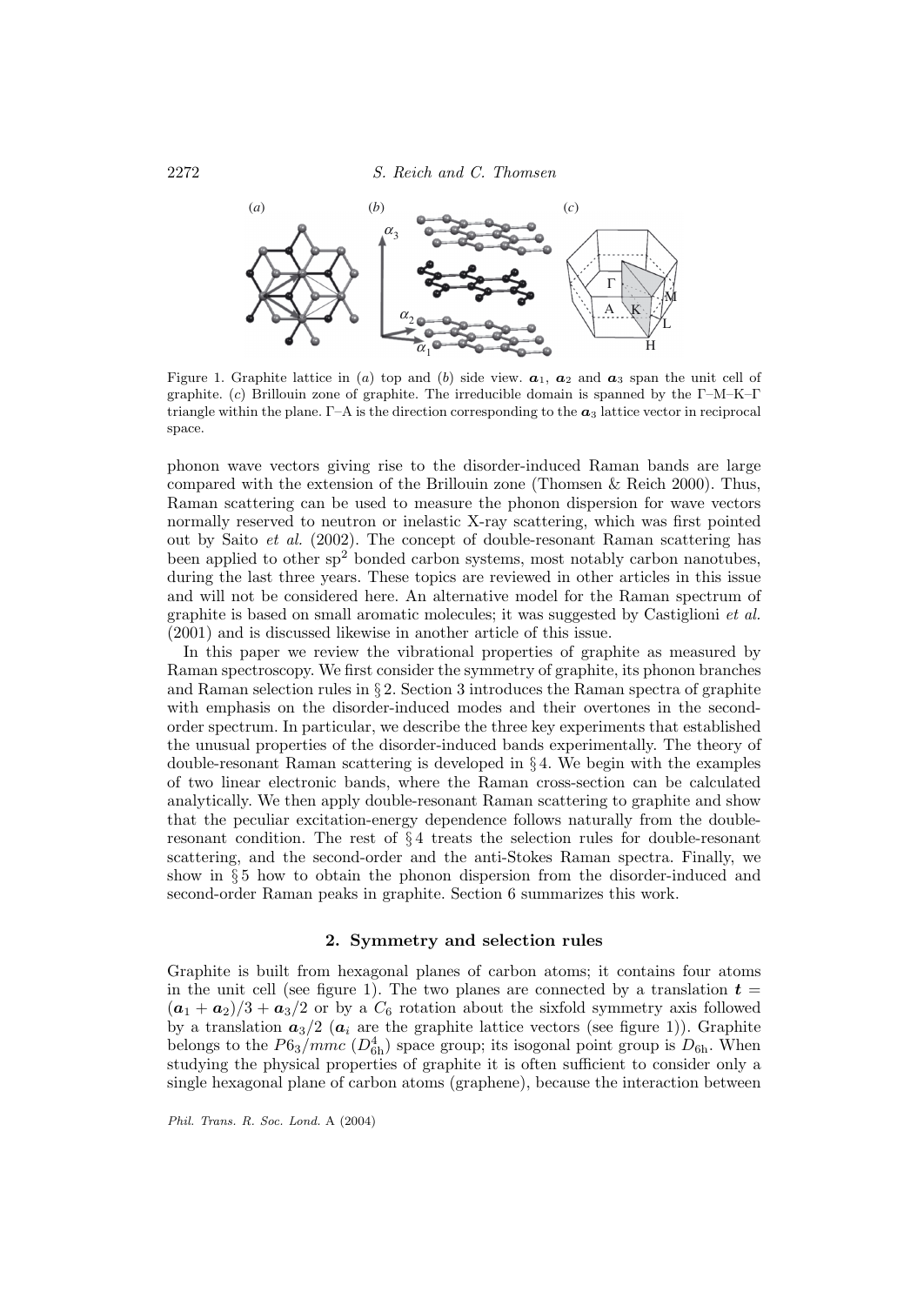

Figure 1. Graphite lattice in (a) top and (b) side view.  $a_1$ ,  $a_2$  and  $a_3$  span the unit cell of graphite. (c) Brillouin zone of graphite. The irreducible domain is spanned by the Γ–M–K–Γ triangle within the plane.  $\Gamma$ –A is the direction corresponding to the  $\alpha_3$  lattice vector in reciprocal space.

phonon wave vectors giving rise to the disorder-induced Raman bands are large compared with the extension of the Brillouin zone (Thomsen & Reich 2000). Thus, Raman scattering can be used to measure the phonon dispersion for wave vectors normally reserved to neutron or inelastic X-ray scattering, which was first pointed out by Saito et al. (2002). The concept of double-resonant Raman scattering has been applied to other  $sp^2$  bonded carbon systems, most notably carbon nanotubes, during the last three years. These topics are reviewed in other articles in this issue and will not be considered here. An alternative model for the Raman spectrum of graphite is based on small aromatic molecules; it was suggested by Castiglioni et al. (2001) and is discussed likewise in another article of this issue.

In this paper we review the vibrational properties of graphite as measured by Raman spectroscopy. We first consider the symmetry of graphite, its phonon branches and Raman selection rules in § 2. Section 3 introduces the Raman spectra of graphite with emphasis on the disorder-induced modes and their overtones in the secondorder spectrum. In particular, we describe the three key experiments that established the unusual properties of the disorder-induced bands experimentally. The theory of double-resonant Raman scattering is developed in § 4. We begin with the examples of two linear electronic bands, where the Raman cross-section can be calculated analytically. We then apply double-resonant Raman scattering to graphite and show that the peculiar excitation-energy dependence follows naturally from the doubleresonant condition. The rest of § 4 treats the selection rules for double-resonant scattering, and the second-order and the anti-Stokes Raman spectra. Finally, we show in § 5 how to obtain the phonon dispersion from the disorder-induced and second-order Raman peaks in graphite. Section 6 summarizes this work.

## **2. Symmetry and selection rules**

Graphite is built from hexagonal planes of carbon atoms; it contains four atoms in the unit cell (see figure 1). The two planes are connected by a translation  $t =$  $(a_1 + a_2)/3 + a_3/2$  or by a  $C_6$  rotation about the sixfold symmetry axis followed by a translation  $a_3/2$  ( $a_i$  are the graphite lattice vectors (see figure 1)). Graphite belongs to the  $P6_3/mmc$  ( $D_{6h}^4$ ) space group; its isogonal point group is  $D_{6h}$ . When studying the physical properties of graphite it is often sufficient to consider only a single hexagonal plane of carbon atoms (graphene), because the interaction between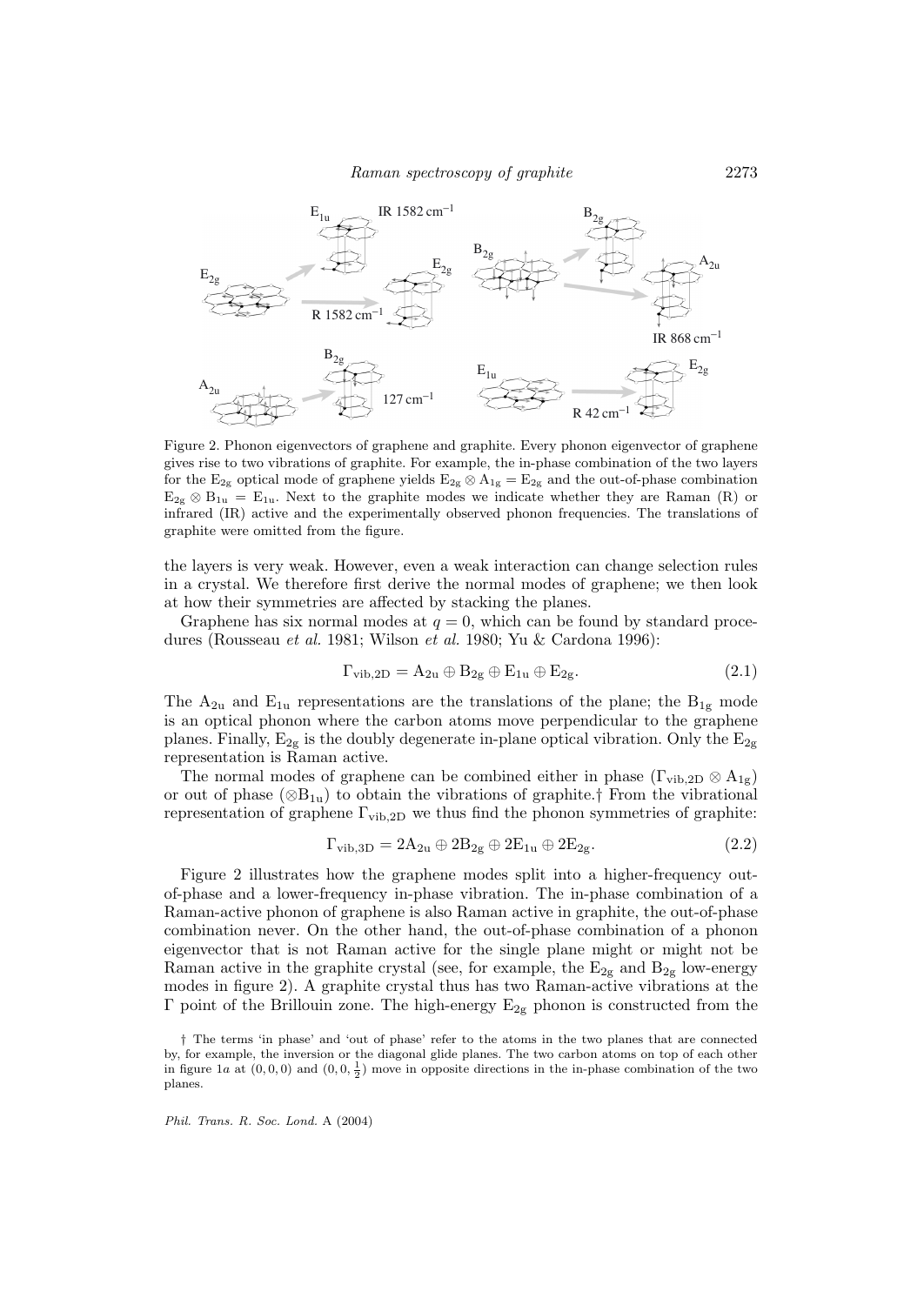

Figure 2. Phonon eigenvectors of graphene and graphite. Every phonon eigenvector of graphene gives rise to two vibrations of graphite. For example, the in-phase combination of the two layers for the  $E_{2g}$  optical mode of graphene yields  $E_{2g} \otimes A_{1g} = E_{2g}$  and the out-of-phase combination  $E_{2g} \otimes B_{1u} = E_{1u}$ . Next to the graphite modes we indicate whether they are Raman (R) or infrared (IR) active and the experimentally observed phonon frequencies. The translations of graphite were omitted from the figure.

the layers is very weak. However, even a weak interaction can change selection rules in a crystal. We therefore first derive the normal modes of graphene; we then look at how their symmetries are affected by stacking the planes.

Graphene has six normal modes at  $q = 0$ , which can be found by standard procedures (Rousseau et al. 1981; Wilson et al. 1980; Yu & Cardona 1996):

$$
\Gamma_{\text{vib},2D} = A_{2u} \oplus B_{2g} \oplus E_{1u} \oplus E_{2g}.
$$
 (2.1)

The  $A_{2u}$  and  $E_{1u}$  representations are the translations of the plane; the  $B_{1g}$  mode is an optical phonon where the carbon atoms move perpendicular to the graphene planes. Finally,  $E_{2g}$  is the doubly degenerate in-plane optical vibration. Only the  $E_{2g}$ representation is Raman active.

The normal modes of graphene can be combined either in phase  $(\Gamma_{vib,2D} \otimes A_{1g})$ or out of phase  $(\otimes B_{1u})$  to obtain the vibrations of graphite.† From the vibrational representation of graphene  $\Gamma_{\text{vib,2D}}$  we thus find the phonon symmetries of graphite:

$$
\Gamma_{\text{vib,3D}} = 2A_{2u} \oplus 2B_{2g} \oplus 2E_{1u} \oplus 2E_{2g}.
$$
 (2.2)

Figure 2 illustrates how the graphene modes split into a higher-frequency outof-phase and a lower-frequency in-phase vibration. The in-phase combination of a Raman-active phonon of graphene is also Raman active in graphite, the out-of-phase combination never. On the other hand, the out-of-phase combination of a phonon eigenvector that is not Raman active for the single plane might or might not be Raman active in the graphite crystal (see, for example, the  $E_{2g}$  and  $B_{2g}$  low-energy modes in figure 2). A graphite crystal thus has two Raman-active vibrations at the Γ point of the Brillouin zone. The high-energy  $E_{2g}$  phonon is constructed from the

<sup>†</sup> The terms 'in phase' and 'out of phase' refer to the atoms in the two planes that are connected by, for example, the inversion or the diagonal glide planes. The two carbon atoms on top of each other in figure 1a at  $(0, 0, 0)$  and  $(0, 0, \frac{1}{2})$  move in opposite directions in the in-phase combination of the two planes.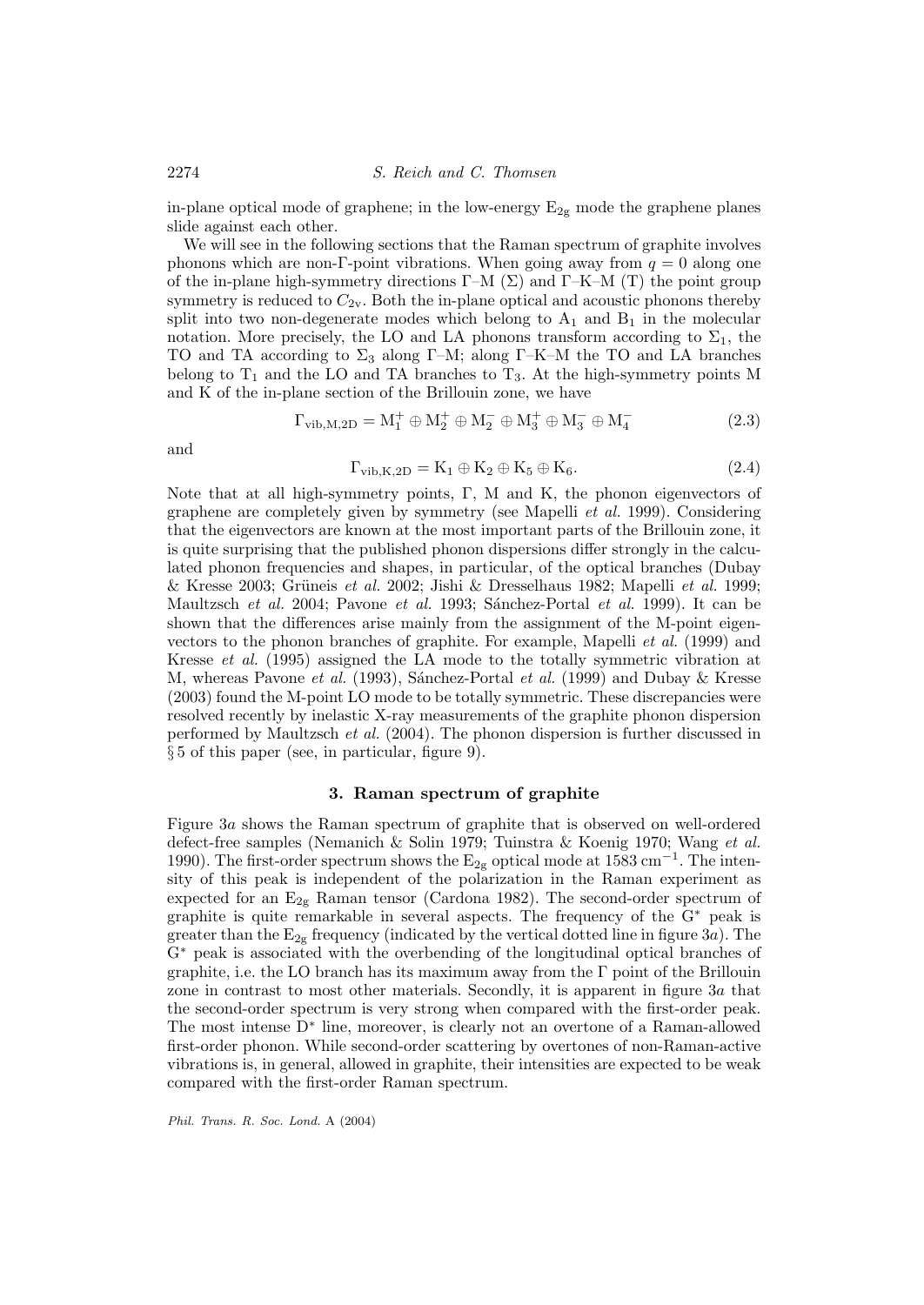in-plane optical mode of graphene; in the low-energy  $E_{2g}$  mode the graphene planes slide against each other.

We will see in the following sections that the Raman spectrum of graphite involves phonons which are non-Γ-point vibrations. When going away from  $q = 0$  along one of the in-plane high-symmetry directions  $\Gamma$ –M ( $\Sigma$ ) and  $\Gamma$ –K–M (T) the point group symmetry is reduced to  $C_{2v}$ . Both the in-plane optical and acoustic phonons thereby split into two non-degenerate modes which belong to  $A_1$  and  $B_1$  in the molecular notation. More precisely, the LO and LA phonons transform according to  $\Sigma_1$ , the TO and TA according to  $\Sigma_3$  along Γ–M; along Γ–K–M the TO and LA branches belong to  $T_1$  and the LO and TA branches to  $T_3$ . At the high-symmetry points M and K of the in-plane section of the Brillouin zone, we have

$$
\Gamma_{\text{vib,M,2D}} = M_1^+ \oplus M_2^+ \oplus M_2^- \oplus M_3^+ \oplus M_3^- \oplus M_4^- \tag{2.3}
$$

and

$$
\Gamma_{\text{vib},\text{K,2D}} = \text{K}_1 \oplus \text{K}_2 \oplus \text{K}_5 \oplus \text{K}_6. \tag{2.4}
$$

Note that at all high-symmetry points, Γ, M and K, the phonon eigenvectors of graphene are completely given by symmetry (see Mapelli et al. 1999). Considering that the eigenvectors are known at the most important parts of the Brillouin zone, it is quite surprising that the published phonon dispersions differ strongly in the calculated phonon frequencies and shapes, in particular, of the optical branches (Dubay & Kresse 2003; Grüneis et al. 2002; Jishi & Dresselhaus 1982; Mapelli et al. 1999; Maultzsch et al. 2004; Pavone et al. 1993; Sánchez-Portal et al. 1999). It can be shown that the differences arise mainly from the assignment of the M-point eigenvectors to the phonon branches of graphite. For example, Mapelli et al. (1999) and Kresse et al. (1995) assigned the LA mode to the totally symmetric vibration at M, whereas Pavone *et al.* (1993), Sánchez-Portal *et al.* (1999) and Dubay & Kresse (2003) found the M-point LO mode to be totally symmetric. These discrepancies were resolved recently by inelastic X-ray measurements of the graphite phonon dispersion performed by Maultzsch et al. (2004). The phonon dispersion is further discussed in § 5 of this paper (see, in particular, figure 9).

# **3. Raman spectrum of graphite**

Figure 3a shows the Raman spectrum of graphite that is observed on well-ordered defect-free samples (Nemanich & Solin 1979; Tuinstra & Koenig 1970; Wang et al. 1990). The first-order spectrum shows the  $E_{2g}$  optical mode at 1583 cm<sup>-1</sup>. The intensity of this peak is independent of the polarization in the Raman experiment as expected for an  $E_{2g}$  Raman tensor (Cardona 1982). The second-order spectrum of graphite is quite remarkable in several aspects. The frequency of the G<sup>∗</sup> peak is greater than the  $E_{2g}$  frequency (indicated by the vertical dotted line in figure 3a). The G<sup>∗</sup> peak is associated with the overbending of the longitudinal optical branches of graphite, i.e. the LO branch has its maximum away from the Γ point of the Brillouin zone in contrast to most other materials. Secondly, it is apparent in figure 3a that the second-order spectrum is very strong when compared with the first-order peak. The most intense D<sup>∗</sup> line, moreover, is clearly not an overtone of a Raman-allowed first-order phonon. While second-order scattering by overtones of non-Raman-active vibrations is, in general, allowed in graphite, their intensities are expected to be weak compared with the first-order Raman spectrum.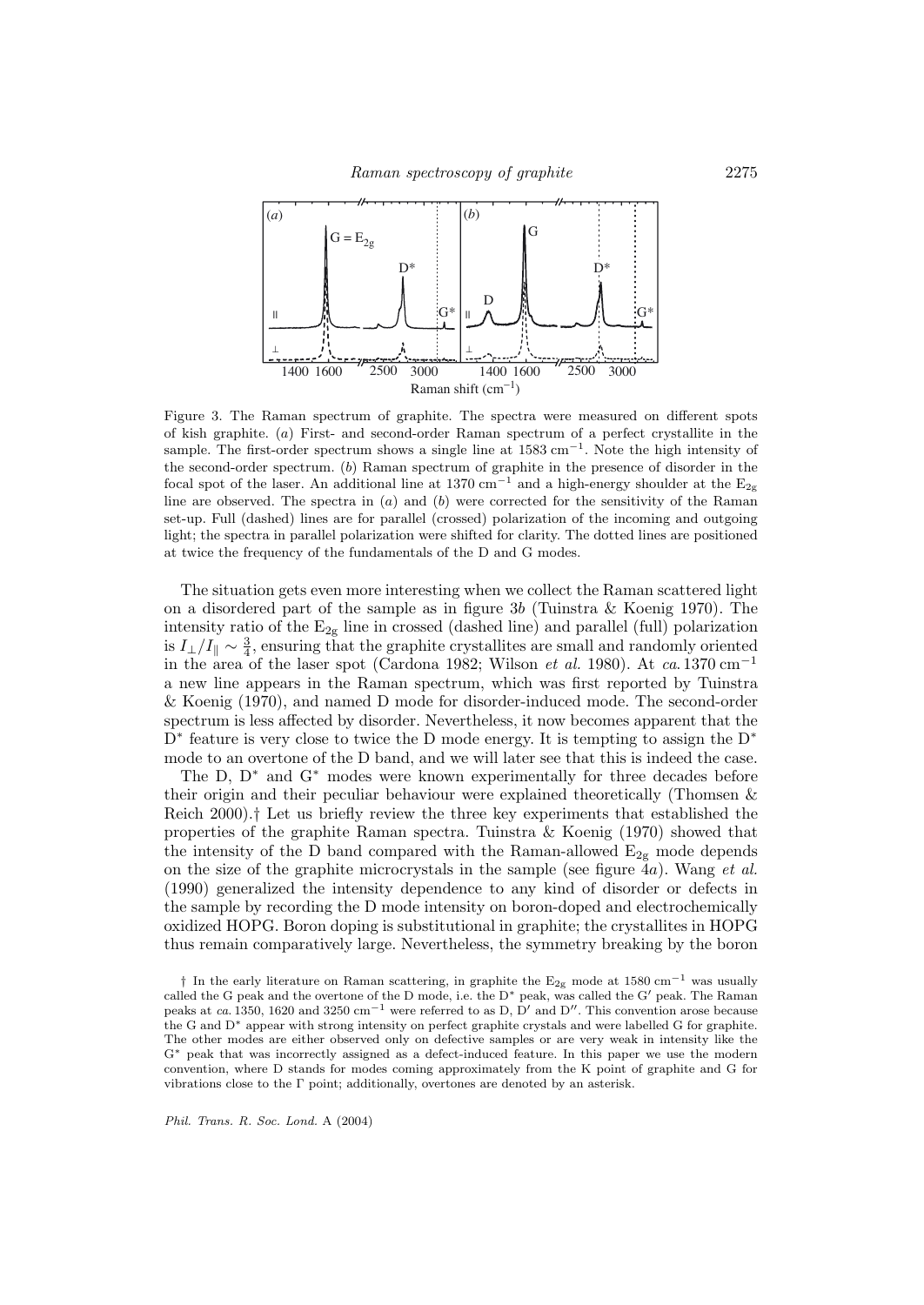

Figure 3. The Raman spectrum of graphite. The spectra were measured on different spots of kish graphite. (a) First- and second-order Raman spectrum of a perfect crystallite in the sample. The first-order spectrum shows a single line at 1583 cm<sup>-1</sup>. Note the high intensity of the second-order spectrum. (b) Raman spectrum of graphite in the presence of disorder in the focal spot of the laser. An additional line at 1370 cm<sup>-1</sup> and a high-energy shoulder at the  $E_{2g}$ line are observed. The spectra in  $(a)$  and  $(b)$  were corrected for the sensitivity of the Raman set-up. Full (dashed) lines are for parallel (crossed) polarization of the incoming and outgoing light; the spectra in parallel polarization were shifted for clarity. The dotted lines are positioned at twice the frequency of the fundamentals of the D and G modes.

The situation gets even more interesting when we collect the Raman scattered light on a disordered part of the sample as in figure 3b (Tuinstra & Koenig 1970). The intensity ratio of the  $E_{2g}$  line in crossed (dashed line) and parallel (full) polarization is  $I_{\perp}/I_{\parallel} \sim \frac{3}{4}$ , ensuring that the graphite crystallites are small and randomly oriented in the area of the laser spot (Cardona 1982; Wilson *et al.* 1980). At  $ca.1370 \text{ cm}^{-1}$ a new line appears in the Raman spectrum, which was first reported by Tuinstra & Koenig (1970), and named D mode for disorder-induced mode. The second-order spectrum is less affected by disorder. Nevertheless, it now becomes apparent that the  $D^*$  feature is very close to twice the D mode energy. It is tempting to assign the  $D^*$ mode to an overtone of the D band, and we will later see that this is indeed the case.

The D, D<sup>∗</sup> and G<sup>∗</sup> modes were known experimentally for three decades before their origin and their peculiar behaviour were explained theoretically (Thomsen & Reich 2000).† Let us briefly review the three key experiments that established the properties of the graphite Raman spectra. Tuinstra & Koenig (1970) showed that the intensity of the D band compared with the Raman-allowed  $E_{2g}$  mode depends on the size of the graphite microcrystals in the sample (see figure  $4a$ ). Wang *et al.* (1990) generalized the intensity dependence to any kind of disorder or defects in the sample by recording the D mode intensity on boron-doped and electrochemically oxidized HOPG. Boron doping is substitutional in graphite; the crystallites in HOPG thus remain comparatively large. Nevertheless, the symmetry breaking by the boron

<sup>†</sup> In the early literature on Raman scattering, in graphite the  $E_{2g}$  mode at 1580 cm<sup>−1</sup> was usually called the G peak and the overtone of the D mode, i.e. the D<sup>∗</sup> peak, was called the G' peak. The Raman peaks at ca. 1350, 1620 and 3250 cm<sup>-1</sup> were referred to as D, D' and D''. This convention arose because the G and D∗ appear with strong intensity on perfect graphite crystals and were labelled G for graphite. The other modes are either observed only on defective samples or are very weak in intensity like the G∗ peak that was incorrectly assigned as a defect-induced feature. In this paper we use the modern convention, where D stands for modes coming approximately from the K point of graphite and G for vibrations close to the Γ point; additionally, overtones are denoted by an asterisk.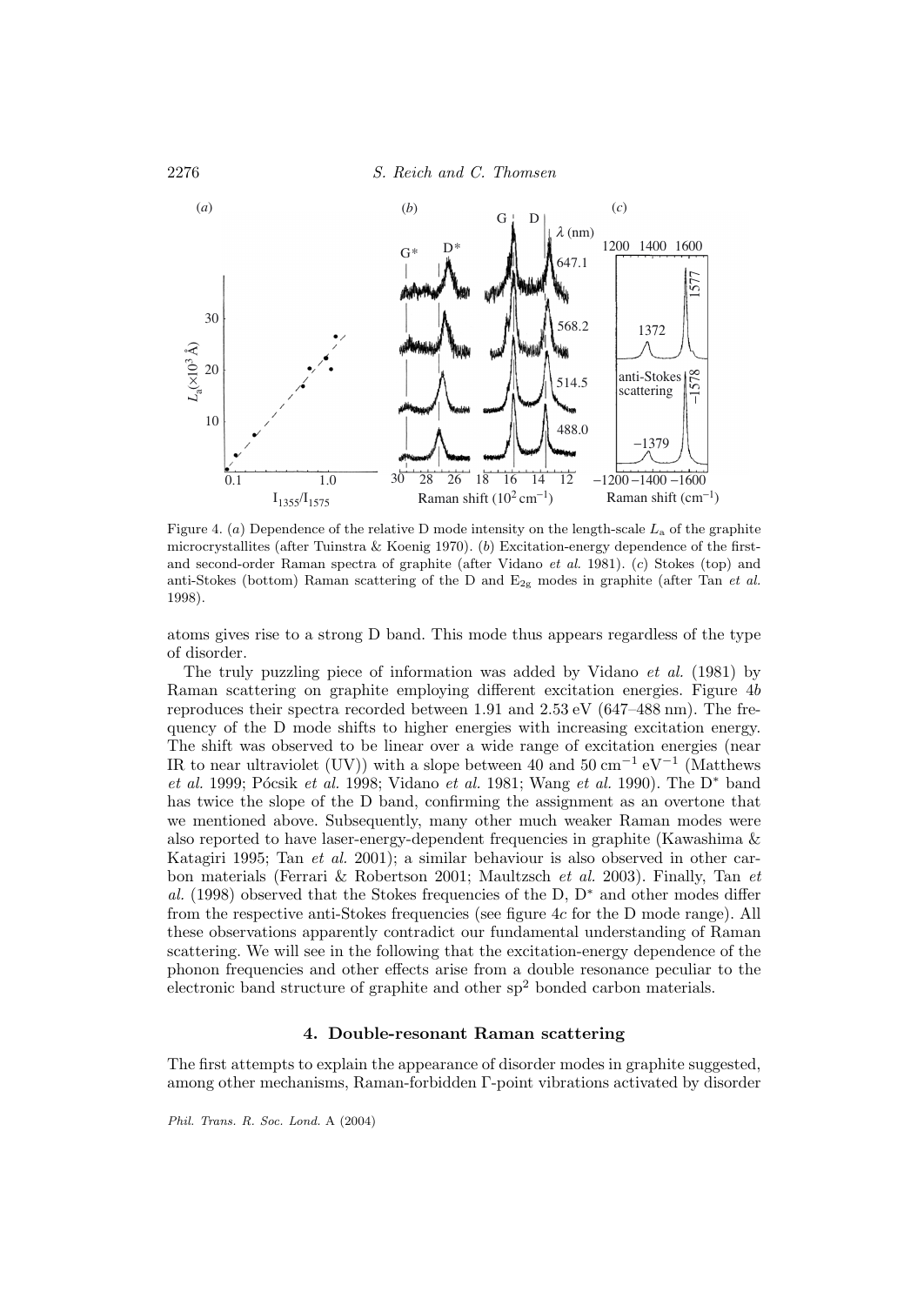

Figure 4. (a) Dependence of the relative D mode intensity on the length-scale  $L_a$  of the graphite microcrystallites (after Tuinstra & Koenig 1970). (b) Excitation-energy dependence of the firstand second-order Raman spectra of graphite (after Vidano et al. 1981). (c) Stokes (top) and anti-Stokes (bottom) Raman scattering of the D and  $E_{2g}$  modes in graphite (after Tan et al. 1998).

atoms gives rise to a strong D band. This mode thus appears regardless of the type of disorder.

The truly puzzling piece of information was added by Vidano et al. (1981) by Raman scattering on graphite employing different excitation energies. Figure 4b reproduces their spectra recorded between 1.91 and 2.53 eV (647–488 nm). The frequency of the D mode shifts to higher energies with increasing excitation energy. The shift was observed to be linear over a wide range of excitation energies (near IR to near ultraviolet (UV)) with a slope between 40 and  $50 \text{ cm}^{-1} \text{ eV}^{-1}$  (Matthews et al. 1999; Pócsik et al. 1998; Vidano et al. 1981; Wang et al. 1990). The D<sup>\*</sup> band has twice the slope of the D band, confirming the assignment as an overtone that we mentioned above. Subsequently, many other much weaker Raman modes were also reported to have laser-energy-dependent frequencies in graphite (Kawashima & Katagiri 1995; Tan et al. 2001); a similar behaviour is also observed in other carbon materials (Ferrari & Robertson 2001; Maultzsch et al. 2003). Finally, Tan et al. (1998) observed that the Stokes frequencies of the D,  $D^*$  and other modes differ from the respective anti-Stokes frequencies (see figure 4c for the D mode range). All these observations apparently contradict our fundamental understanding of Raman scattering. We will see in the following that the excitation-energy dependence of the phonon frequencies and other effects arise from a double resonance peculiar to the electronic band structure of graphite and other  $sp<sup>2</sup>$  bonded carbon materials.

## **4. Double-resonant Raman scattering**

The first attempts to explain the appearance of disorder modes in graphite suggested, among other mechanisms, Raman-forbidden Γ-point vibrations activated by disorder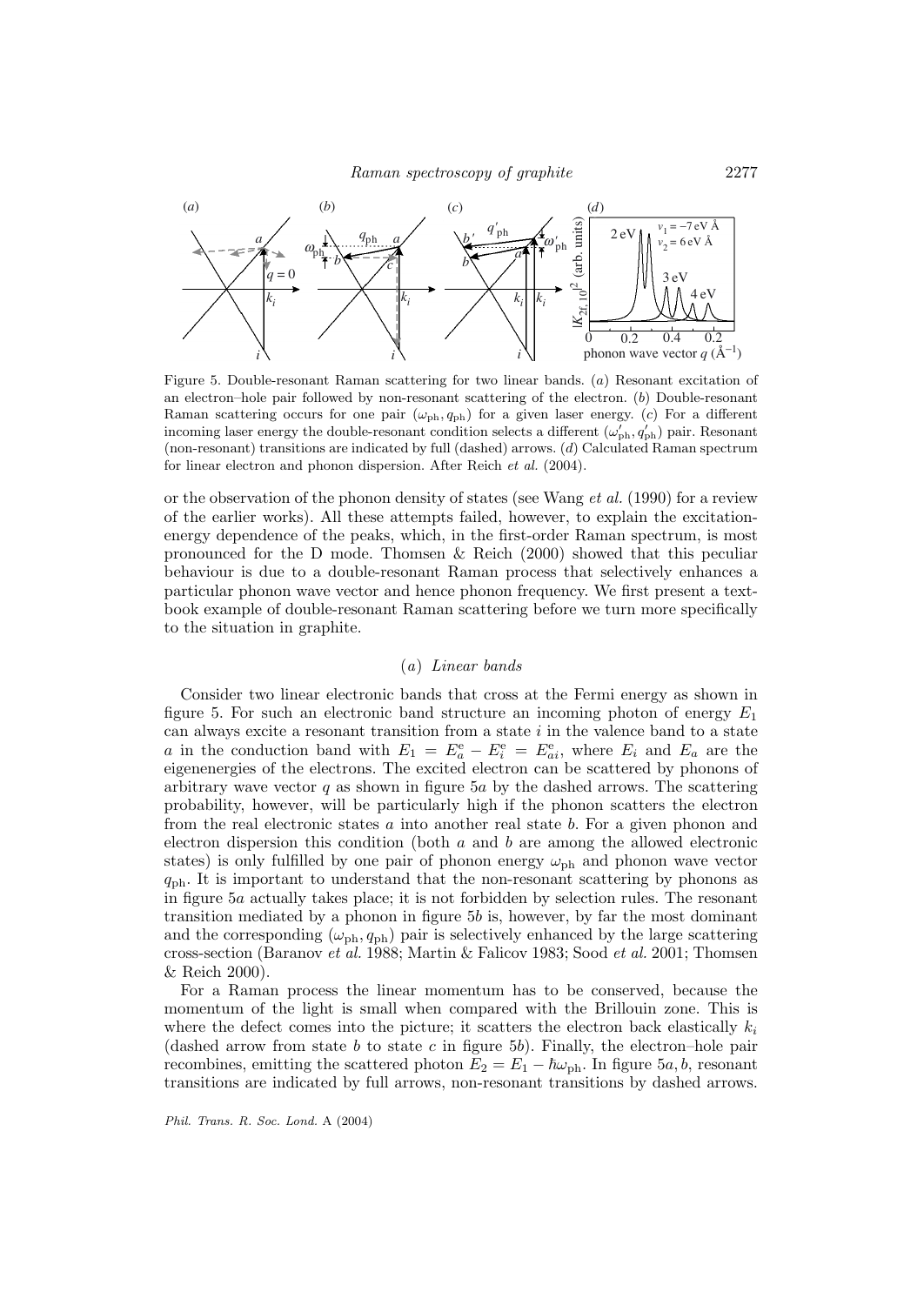

Figure 5. Double-resonant Raman scattering for two linear bands. (a) Resonant excitation of an electron–hole pair followed by non-resonant scattering of the electron.  $(b)$  Double-resonant Raman scattering occurs for one pair  $(\omega_{ph}, q_{ph})$  for a given laser energy. (c) For a different incoming laser energy the double-resonant condition selects a different  $(\omega_{\rm ph}', q_{\rm ph}')$  pair. Resonant (non-resonant) transitions are indicated by full (dashed) arrows. (d) Calculated Raman spectrum for linear electron and phonon dispersion. After Reich et al. (2004).

or the observation of the phonon density of states (see Wang et al. (1990) for a review of the earlier works). All these attempts failed, however, to explain the excitationenergy dependence of the peaks, which, in the first-order Raman spectrum, is most pronounced for the D mode. Thomsen & Reich (2000) showed that this peculiar behaviour is due to a double-resonant Raman process that selectively enhances a particular phonon wave vector and hence phonon frequency. We first present a textbook example of double-resonant Raman scattering before we turn more specifically to the situation in graphite.

# (a) Linear bands

Consider two linear electronic bands that cross at the Fermi energy as shown in figure 5. For such an electronic band structure an incoming photon of energy  $E_1$ can always excite a resonant transition from a state  $i$  in the valence band to a state a in the conduction band with  $E_1 = E_a^e - E_i^e = E_{ai}^e$ , where  $E_i$  and  $E_a$  are the eigenenergies of the electrons. The excited electron can be scattered by phonons of arbitrary wave vector  $q$  as shown in figure 5a by the dashed arrows. The scattering probability, however, will be particularly high if the phonon scatters the electron from the real electronic states a into another real state b. For a given phonon and electron dispersion this condition (both  $a$  and  $b$  are among the allowed electronic states) is only fulfilled by one pair of phonon energy  $\omega_{\rm ph}$  and phonon wave vector  $q_{\text{ph}}$ . It is important to understand that the non-resonant scattering by phonons as in figure 5a actually takes place; it is not forbidden by selection rules. The resonant transition mediated by a phonon in figure 5b is, however, by far the most dominant and the corresponding  $(\omega_{ph}, q_{ph})$  pair is selectively enhanced by the large scattering cross-section (Baranov et al. 1988; Martin & Falicov 1983; Sood et al. 2001; Thomsen & Reich 2000).

For a Raman process the linear momentum has to be conserved, because the momentum of the light is small when compared with the Brillouin zone. This is where the defect comes into the picture; it scatters the electron back elastically  $k_i$ (dashed arrow from state b to state c in figure 5b). Finally, the electron–hole pair recombines, emitting the scattered photon  $E_2 = E_1 - \hbar \omega_{\text{ph}}$ . In figure 5a, b, resonant transitions are indicated by full arrows, non-resonant transitions by dashed arrows.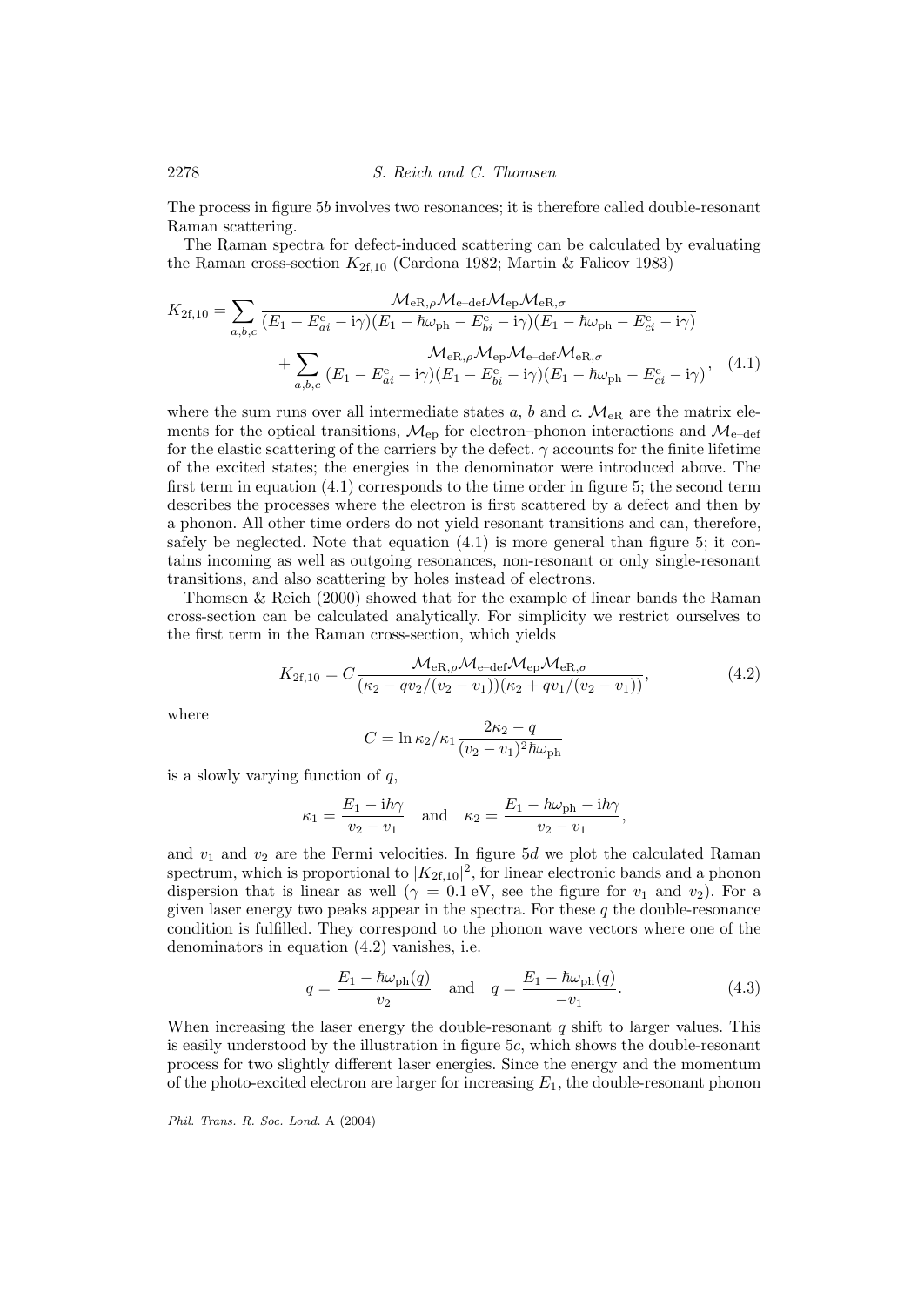The process in figure 5b involves two resonances; it is therefore called double-resonant Raman scattering.

The Raman spectra for defect-induced scattering can be calculated by evaluating the Raman cross-section  $K_{2f,10}$  (Cardona 1982; Martin & Falicov 1983)

$$
K_{2\text{f},10} = \sum_{a,b,c} \frac{\mathcal{M}_{eR,\rho}\mathcal{M}_{e-\text{def}}\mathcal{M}_{eR,\sigma}}{(E_1 - E_{ai}^{\text{e}} - i\gamma)(E_1 - \hbar\omega_{\text{ph}} - E_{bi}^{\text{e}} - i\gamma)(E_1 - \hbar\omega_{\text{ph}} - E_{ci}^{\text{e}} - i\gamma)} + \sum_{a,b,c} \frac{\mathcal{M}_{eR,\rho}\mathcal{M}_{eP}\mathcal{M}_{e-\text{def}}\mathcal{M}_{eR,\sigma}}{(E_1 - E_{ai}^{\text{e}} - i\gamma)(E_1 - E_{bi}^{\text{e}} - i\gamma)(E_1 - \hbar\omega_{\text{ph}} - E_{ci}^{\text{e}} - i\gamma)}, \quad (4.1)
$$

where the sum runs over all intermediate states a, b and c.  $\mathcal{M}_{\text{eR}}$  are the matrix elements for the optical transitions,  $\mathcal{M}_{ep}$  for electron–phonon interactions and  $\mathcal{M}_{e-def}$ for the elastic scattering of the carriers by the defect.  $\gamma$  accounts for the finite lifetime of the excited states; the energies in the denominator were introduced above. The first term in equation (4.1) corresponds to the time order in figure 5; the second term describes the processes where the electron is first scattered by a defect and then by a phonon. All other time orders do not yield resonant transitions and can, therefore, safely be neglected. Note that equation  $(4.1)$  is more general than figure 5; it contains incoming as well as outgoing resonances, non-resonant or only single-resonant transitions, and also scattering by holes instead of electrons.

Thomsen & Reich (2000) showed that for the example of linear bands the Raman cross-section can be calculated analytically. For simplicity we restrict ourselves to the first term in the Raman cross-section, which yields

$$
K_{2\text{f},10} = C \frac{\mathcal{M}_{\text{eR},\rho} \mathcal{M}_{\text{e-def}} \mathcal{M}_{\text{eP}} \mathcal{M}_{\text{eR},\sigma}}{(\kappa_2 - qv_2/(v_2 - v_1)) (\kappa_2 + qv_1/(v_2 - v_1))},\tag{4.2}
$$

where

$$
C = \ln \kappa_2 / \kappa_1 \frac{2\kappa_2 - q}{(v_2 - v_1)^2 \hbar \omega_{\text{ph}}}
$$

is a slowly varying function of  $q$ ,

$$
\kappa_1 = \frac{E_1 - i\hbar\gamma}{v_2 - v_1} \quad \text{and} \quad \kappa_2 = \frac{E_1 - \hbar\omega_{\rm ph} - i\hbar\gamma}{v_2 - v_1},
$$

and  $v_1$  and  $v_2$  are the Fermi velocities. In figure 5d we plot the calculated Raman spectrum, which is proportional to  $|K_{2f,10}|^2$ , for linear electronic bands and a phonon dispersion that is linear as well ( $\gamma = 0.1$  eV, see the figure for  $v_1$  and  $v_2$ ). For a given laser energy two peaks appear in the spectra. For these  $q$  the double-resonance condition is fulfilled. They correspond to the phonon wave vectors where one of the denominators in equation (4.2) vanishes, i.e.

$$
q = \frac{E_1 - \hbar \omega_{\rm ph}(q)}{v_2} \quad \text{and} \quad q = \frac{E_1 - \hbar \omega_{\rm ph}(q)}{-v_1}.
$$
 (4.3)

When increasing the laser energy the double-resonant  $q$  shift to larger values. This is easily understood by the illustration in figure 5c, which shows the double-resonant process for two slightly different laser energies. Since the energy and the momentum of the photo-excited electron are larger for increasing  $E_1$ , the double-resonant phonon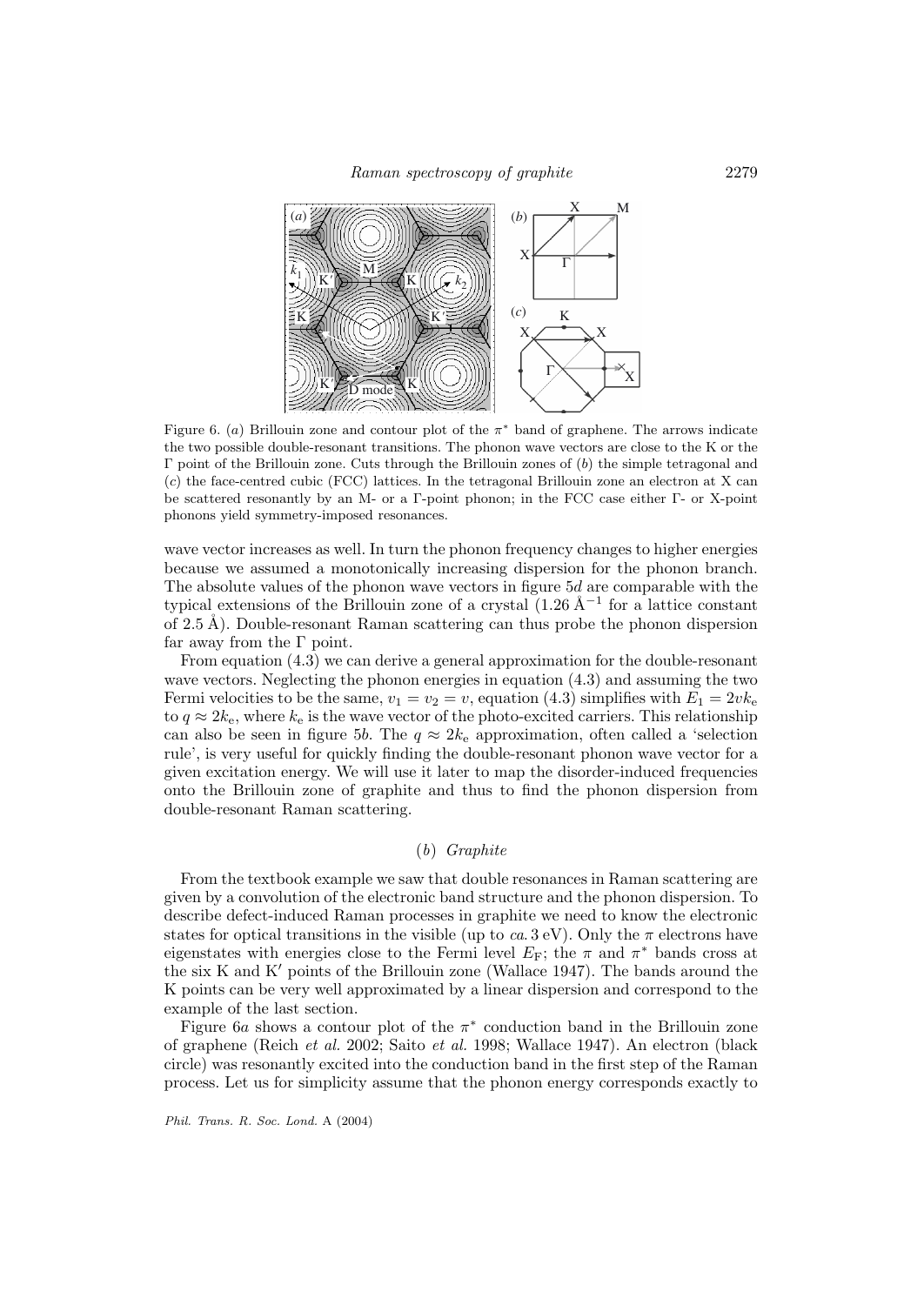

Figure 6. (a) Brillouin zone and contour plot of the  $\pi^*$  band of graphene. The arrows indicate the two possible double-resonant transitions. The phonon wave vectors are close to the K or the  $Γ$  point of the Brillouin zone. Cuts through the Brillouin zones of  $(b)$  the simple tetragonal and (c) the face-centred cubic (FCC) lattices. In the tetragonal Brillouin zone an electron at X can be scattered resonantly by an M- or a Γ-point phonon; in the FCC case either Γ- or X-point phonons yield symmetry-imposed resonances.

wave vector increases as well. In turn the phonon frequency changes to higher energies because we assumed a monotonically increasing dispersion for the phonon branch. The absolute values of the phonon wave vectors in figure 5d are comparable with the typical extensions of the Brillouin zone of a crystal  $(1.26 \text{ Å}^{-1}$  for a lattice constant of  $2.5 \text{ Å}$ ). Double-resonant Raman scattering can thus probe the phonon dispersion far away from the  $\Gamma$  point.

From equation (4.3) we can derive a general approximation for the double-resonant wave vectors. Neglecting the phonon energies in equation (4.3) and assuming the two Fermi velocities to be the same,  $v_1 = v_2 = v$ , equation (4.3) simplifies with  $E_1 = 2vk_e$ to  $q \approx 2k_e$ , where  $k_e$  is the wave vector of the photo-excited carriers. This relationship can also be seen in figure 5b. The  $q \approx 2k_e$  approximation, often called a 'selection rule', is very useful for quickly finding the double-resonant phonon wave vector for a given excitation energy. We will use it later to map the disorder-induced frequencies onto the Brillouin zone of graphite and thus to find the phonon dispersion from double-resonant Raman scattering.

# (b) Graphite

From the textbook example we saw that double resonances in Raman scattering are given by a convolution of the electronic band structure and the phonon dispersion. To describe defect-induced Raman processes in graphite we need to know the electronic states for optical transitions in the visible (up to ca. 3 eV). Only the  $\pi$  electrons have eigenstates with energies close to the Fermi level  $E_F$ ; the  $\pi$  and  $\pi^*$  bands cross at the six K and K' points of the Brillouin zone (Wallace 1947). The bands around the K points can be very well approximated by a linear dispersion and correspond to the example of the last section.

Figure 6a shows a contour plot of the  $\pi^*$  conduction band in the Brillouin zone of graphene (Reich et al. 2002; Saito et al. 1998; Wallace 1947). An electron (black circle) was resonantly excited into the conduction band in the first step of the Raman process. Let us for simplicity assume that the phonon energy corresponds exactly to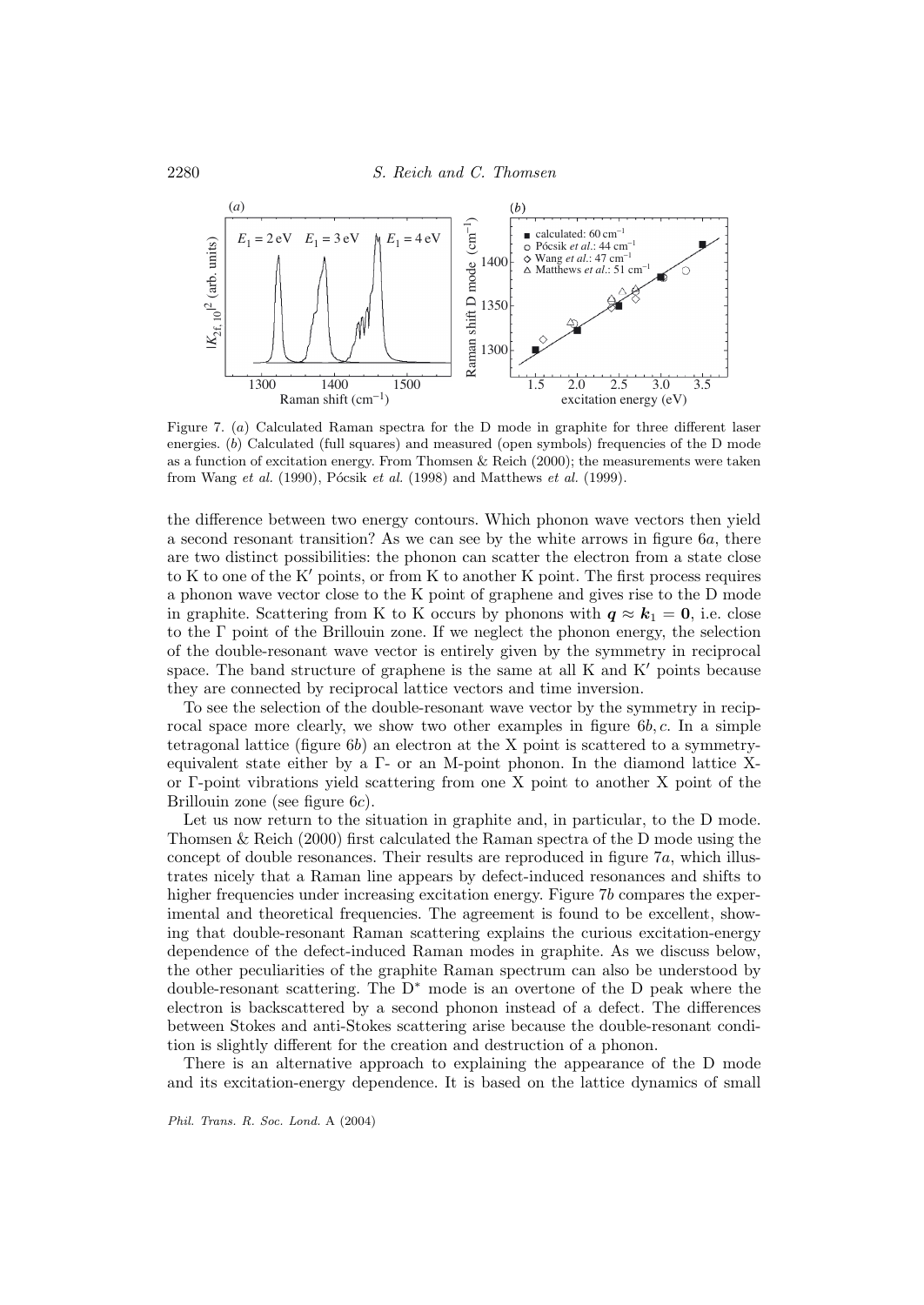

Figure 7. (a) Calculated Raman spectra for the D mode in graphite for three different laser energies. (b) Calculated (full squares) and measured (open symbols) frequencies of the D mode as a function of excitation energy. From Thomsen & Reich  $(2000)$ ; the measurements were taken from Wang et al. (1990), Pócsik et al. (1998) and Matthews et al. (1999).

the difference between two energy contours. Which phonon wave vectors then yield a second resonant transition? As we can see by the white arrows in figure 6a, there are two distinct possibilities: the phonon can scatter the electron from a state close to K to one of the  $K'$  points, or from K to another K point. The first process requires a phonon wave vector close to the K point of graphene and gives rise to the D mode in graphite. Scattering from K to K occurs by phonons with  $q \approx k_1 = 0$ , i.e. close to the Γ point of the Brillouin zone. If we neglect the phonon energy, the selection of the double-resonant wave vector is entirely given by the symmetry in reciprocal space. The band structure of graphene is the same at all  $K$  and  $K'$  points because they are connected by reciprocal lattice vectors and time inversion.

To see the selection of the double-resonant wave vector by the symmetry in reciprocal space more clearly, we show two other examples in figure  $6b, c$ . In a simple tetragonal lattice (figure  $6b$ ) an electron at the X point is scattered to a symmetryequivalent state either by a Γ- or an M-point phonon. In the diamond lattice Xor Γ-point vibrations yield scattering from one X point to another X point of the Brillouin zone (see figure 6c).

Let us now return to the situation in graphite and, in particular, to the D mode. Thomsen & Reich (2000) first calculated the Raman spectra of the D mode using the concept of double resonances. Their results are reproduced in figure 7a, which illustrates nicely that a Raman line appears by defect-induced resonances and shifts to higher frequencies under increasing excitation energy. Figure 7b compares the experimental and theoretical frequencies. The agreement is found to be excellent, showing that double-resonant Raman scattering explains the curious excitation-energy dependence of the defect-induced Raman modes in graphite. As we discuss below, the other peculiarities of the graphite Raman spectrum can also be understood by double-resonant scattering. The D<sup>∗</sup> mode is an overtone of the D peak where the electron is backscattered by a second phonon instead of a defect. The differences between Stokes and anti-Stokes scattering arise because the double-resonant condition is slightly different for the creation and destruction of a phonon.

There is an alternative approach to explaining the appearance of the D mode and its excitation-energy dependence. It is based on the lattice dynamics of small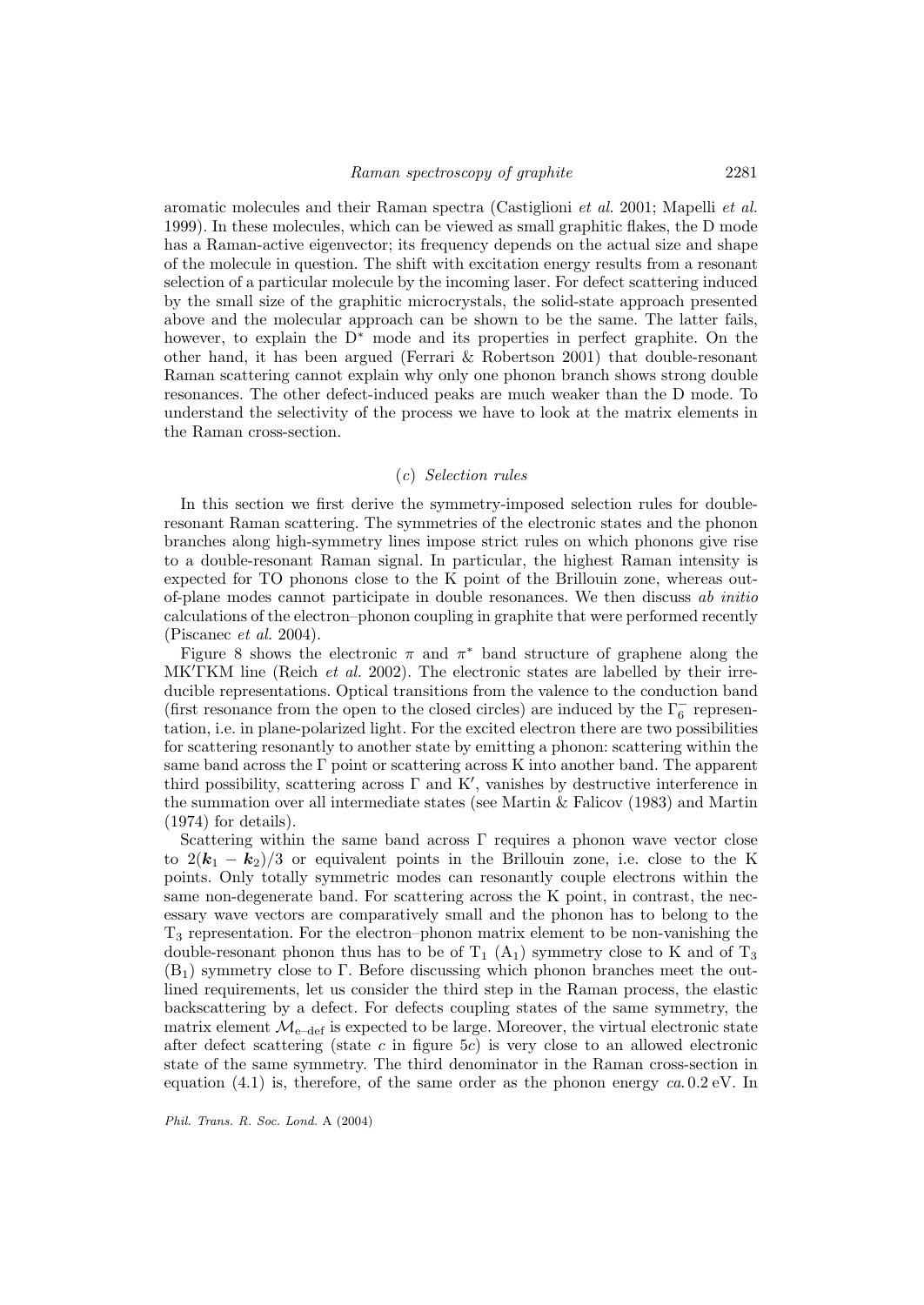aromatic molecules and their Raman spectra (Castiglioni et al. 2001; Mapelli et al. 1999). In these molecules, which can be viewed as small graphitic flakes, the D mode has a Raman-active eigenvector; its frequency depends on the actual size and shape of the molecule in question. The shift with excitation energy results from a resonant selection of a particular molecule by the incoming laser. For defect scattering induced by the small size of the graphitic microcrystals, the solid-state approach presented above and the molecular approach can be shown to be the same. The latter fails, however, to explain the D<sup>∗</sup> mode and its properties in perfect graphite. On the other hand, it has been argued (Ferrari & Robertson 2001) that double-resonant Raman scattering cannot explain why only one phonon branch shows strong double resonances. The other defect-induced peaks are much weaker than the D mode. To understand the selectivity of the process we have to look at the matrix elements in the Raman cross-section.

## (c) Selection rules

In this section we first derive the symmetry-imposed selection rules for doubleresonant Raman scattering. The symmetries of the electronic states and the phonon branches along high-symmetry lines impose strict rules on which phonons give rise to a double-resonant Raman signal. In particular, the highest Raman intensity is expected for TO phonons close to the K point of the Brillouin zone, whereas outof-plane modes cannot participate in double resonances. We then discuss ab initio calculations of the electron–phonon coupling in graphite that were performed recently (Piscanec et al. 2004).

Figure 8 shows the electronic  $\pi$  and  $\pi^*$  band structure of graphene along the MK'TKM line (Reich *et al.* 2002). The electronic states are labelled by their irreducible representations. Optical transitions from the valence to the conduction band (first resonance from the open to the closed circles) are induced by the  $\Gamma_6^-$  representation, i.e. in plane-polarized light. For the excited electron there are two possibilities for scattering resonantly to another state by emitting a phonon: scattering within the same band across the Γ point or scattering across K into another band. The apparent third possibility, scattering across  $\Gamma$  and K', vanishes by destructive interference in the summation over all intermediate states (see Martin & Falicov (1983) and Martin (1974) for details).

Scattering within the same band across  $\Gamma$  requires a phonon wave vector close to  $2(k_1 - k_2)/3$  or equivalent points in the Brillouin zone, i.e. close to the K points. Only totally symmetric modes can resonantly couple electrons within the same non-degenerate band. For scattering across the K point, in contrast, the necessary wave vectors are comparatively small and the phonon has to belong to the  $T_3$  representation. For the electron–phonon matrix element to be non-vanishing the double-resonant phonon thus has to be of  $T_1$  (A<sub>1</sub>) symmetry close to K and of  $T_3$  $(B<sub>1</sub>)$  symmetry close to Γ. Before discussing which phonon branches meet the outlined requirements, let us consider the third step in the Raman process, the elastic backscattering by a defect. For defects coupling states of the same symmetry, the matrix element  $\mathcal{M}_{e-\text{def}}$  is expected to be large. Moreover, the virtual electronic state after defect scattering (state c in figure 5c) is very close to an allowed electronic state of the same symmetry. The third denominator in the Raman cross-section in equation  $(4.1)$  is, therefore, of the same order as the phonon energy  $ca.0.2$  eV. In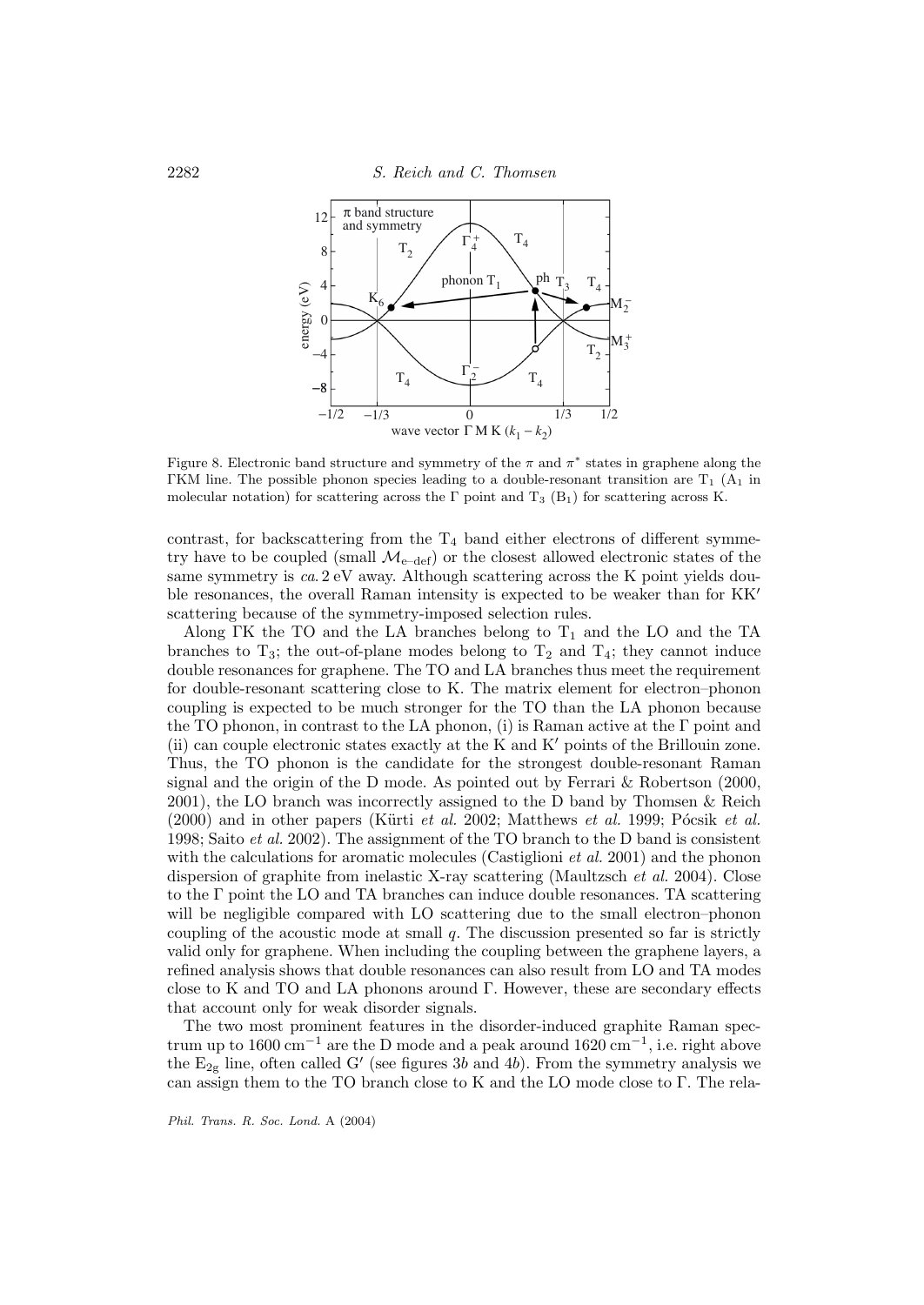

Figure 8. Electronic band structure and symmetry of the  $\pi$  and  $\pi^*$  states in graphene along the ΓKM line. The possible phonon species leading to a double-resonant transition are  $T_1$  (A<sub>1</sub> in molecular notation) for scattering across the Γ point and T<sub>3</sub> (B<sub>1</sub>) for scattering across K.

contrast, for backscattering from the  $T_4$  band either electrons of different symmetry have to be coupled (small  $\mathcal{M}_{\text{e-def}}$ ) or the closest allowed electronic states of the same symmetry is ca. 2 eV away. Although scattering across the K point yields double resonances, the overall Raman intensity is expected to be weaker than for KK scattering because of the symmetry-imposed selection rules.

Along ΓK the TO and the LA branches belong to  $T_1$  and the LO and the TA branches to  $T_3$ ; the out-of-plane modes belong to  $T_2$  and  $T_4$ ; they cannot induce double resonances for graphene. The TO and LA branches thus meet the requirement for double-resonant scattering close to K. The matrix element for electron–phonon coupling is expected to be much stronger for the TO than the LA phonon because the TO phonon, in contrast to the LA phonon, (i) is Raman active at the  $\Gamma$  point and (ii) can couple electronic states exactly at the K and  $K'$  points of the Brillouin zone. Thus, the TO phonon is the candidate for the strongest double-resonant Raman signal and the origin of the D mode. As pointed out by Ferrari & Robertson (2000, 2001), the LO branch was incorrectly assigned to the D band by Thomsen & Reich  $(2000)$  and in other papers (Kürti *et al.* 2002; Matthews *et al.* 1999; Pócsik *et al.* 1998; Saito et al. 2002). The assignment of the TO branch to the D band is consistent with the calculations for aromatic molecules (Castiglioni *et al.* 2001) and the phonon dispersion of graphite from inelastic X-ray scattering (Maultzsch et al. 2004). Close to the Γ point the LO and TA branches can induce double resonances. TA scattering will be negligible compared with LO scattering due to the small electron–phonon coupling of the acoustic mode at small  $q$ . The discussion presented so far is strictly valid only for graphene. When including the coupling between the graphene layers, a refined analysis shows that double resonances can also result from LO and TA modes close to K and TO and LA phonons around  $\Gamma$ . However, these are secondary effects that account only for weak disorder signals.

The two most prominent features in the disorder-induced graphite Raman spectrum up to 1600 cm<sup>-1</sup> are the D mode and a peak around 1620 cm<sup>-1</sup>, i.e. right above the  $E_{2g}$  line, often called G' (see figures 3b and 4b). From the symmetry analysis we can assign them to the TO branch close to K and the LO mode close to Γ. The rela-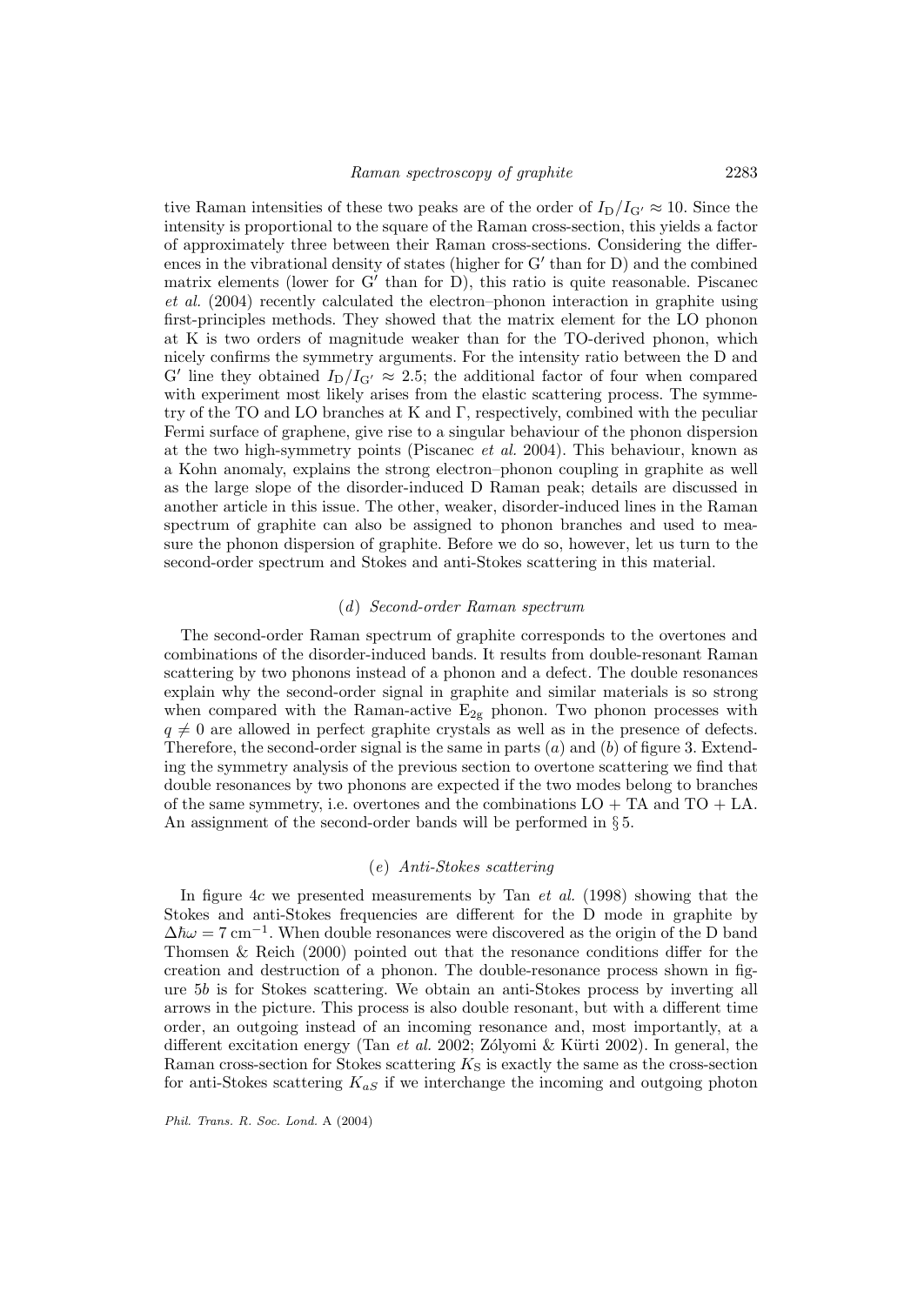tive Raman intensities of these two peaks are of the order of  $I_D/I_{G'} \approx 10$ . Since the intensity is proportional to the square of the Raman cross-section, this yields a factor of approximately three between their Raman cross-sections. Considering the differences in the vibrational density of states (higher for  $G'$  than for  $D$ ) and the combined matrix elements (lower for  $G'$  than for D), this ratio is quite reasonable. Piscanec et al. (2004) recently calculated the electron–phonon interaction in graphite using first-principles methods. They showed that the matrix element for the LO phonon at K is two orders of magnitude weaker than for the TO-derived phonon, which nicely confirms the symmetry arguments. For the intensity ratio between the D and G' line they obtained  $I_D/I_{G'} \approx 2.5$ ; the additional factor of four when compared with experiment most likely arises from the elastic scattering process. The symmetry of the TO and LO branches at K and Γ, respectively, combined with the peculiar Fermi surface of graphene, give rise to a singular behaviour of the phonon dispersion at the two high-symmetry points (Piscanec et al. 2004). This behaviour, known as a Kohn anomaly, explains the strong electron–phonon coupling in graphite as well as the large slope of the disorder-induced D Raman peak; details are discussed in another article in this issue. The other, weaker, disorder-induced lines in the Raman spectrum of graphite can also be assigned to phonon branches and used to measure the phonon dispersion of graphite. Before we do so, however, let us turn to the second-order spectrum and Stokes and anti-Stokes scattering in this material.

# (d) Second-order Raman spectrum

The second-order Raman spectrum of graphite corresponds to the overtones and combinations of the disorder-induced bands. It results from double-resonant Raman scattering by two phonons instead of a phonon and a defect. The double resonances explain why the second-order signal in graphite and similar materials is so strong when compared with the Raman-active  $E_{2g}$  phonon. Two phonon processes with  $q \neq 0$  are allowed in perfect graphite crystals as well as in the presence of defects. Therefore, the second-order signal is the same in parts  $(a)$  and  $(b)$  of figure 3. Extending the symmetry analysis of the previous section to overtone scattering we find that double resonances by two phonons are expected if the two modes belong to branches of the same symmetry, i.e. overtones and the combinations  $LO + TA$  and  $TO + LA$ . An assignment of the second-order bands will be performed in § 5.

## (e) Anti-Stokes scattering

In figure  $4c$  we presented measurements by Tan  $et$  al. (1998) showing that the Stokes and anti-Stokes frequencies are different for the D mode in graphite by  $\Delta\hbar\omega = 7 \text{ cm}^{-1}$ . When double resonances were discovered as the origin of the D band Thomsen & Reich (2000) pointed out that the resonance conditions differ for the creation and destruction of a phonon. The double-resonance process shown in figure 5b is for Stokes scattering. We obtain an anti-Stokes process by inverting all arrows in the picture. This process is also double resonant, but with a different time order, an outgoing instead of an incoming resonance and, most importantly, at a different excitation energy (Tan *et al.* 2002; Zólyomi & Kürti 2002). In general, the Raman cross-section for Stokes scattering  $K<sub>S</sub>$  is exactly the same as the cross-section for anti-Stokes scattering  $K_{aS}$  if we interchange the incoming and outgoing photon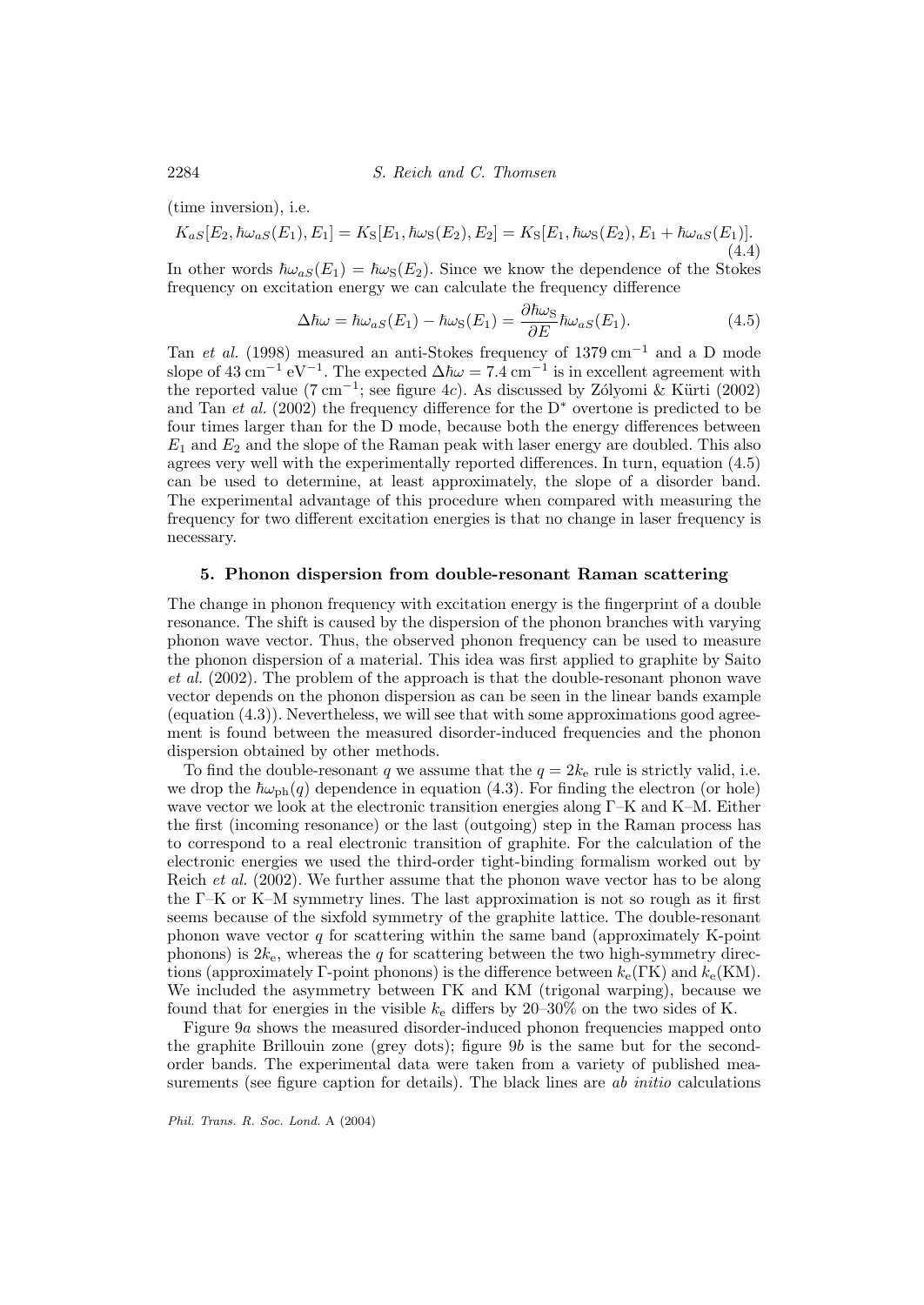(time inversion), i.e.

$$
K_{aS}[E_2, \hbar\omega_{aS}(E_1), E_1] = K_S[E_1, \hbar\omega_S(E_2), E_2] = K_S[E_1, \hbar\omega_S(E_2), E_1 + \hbar\omega_{aS}(E_1)].
$$
\n(4.4)

In other words  $\hbar\omega_{aS}(E_1) = \hbar\omega_{S}(E_2)$ . Since we know the dependence of the Stokes frequency on excitation energy we can calculate the frequency difference

$$
\Delta\hbar\omega = \hbar\omega_{aS}(E_1) - \hbar\omega_{S}(E_1) = \frac{\partial\hbar\omega_{S}}{\partial E}\hbar\omega_{aS}(E_1). \tag{4.5}
$$

Tan et al. (1998) measured an anti-Stokes frequency of 1379 cm<sup>-1</sup> and a D mode slope of 43 cm<sup>-1</sup> eV<sup>-1</sup>. The expected  $\Delta\hbar\omega = 7.4$  cm<sup>-1</sup> is in excellent agreement with the reported value (7 cm<sup>-1</sup>; see figure 4c). As discussed by Zólyomi & Kürti (2002) and Tan et al. (2002) the frequency difference for the  $D^*$  overtone is predicted to be four times larger than for the D mode, because both the energy differences between  $E_1$  and  $E_2$  and the slope of the Raman peak with laser energy are doubled. This also agrees very well with the experimentally reported differences. In turn, equation (4.5) can be used to determine, at least approximately, the slope of a disorder band. The experimental advantage of this procedure when compared with measuring the frequency for two different excitation energies is that no change in laser frequency is necessary.

## **5. Phonon dispersion from double-resonant Raman scattering**

The change in phonon frequency with excitation energy is the fingerprint of a double resonance. The shift is caused by the dispersion of the phonon branches with varying phonon wave vector. Thus, the observed phonon frequency can be used to measure the phonon dispersion of a material. This idea was first applied to graphite by Saito et al. (2002). The problem of the approach is that the double-resonant phonon wave vector depends on the phonon dispersion as can be seen in the linear bands example (equation  $(4.3)$ ). Nevertheless, we will see that with some approximations good agreement is found between the measured disorder-induced frequencies and the phonon dispersion obtained by other methods.

To find the double-resonant q we assume that the  $q = 2k_e$  rule is strictly valid, i.e. we drop the  $\hbar\omega_{\text{ph}}(q)$  dependence in equation (4.3). For finding the electron (or hole) wave vector we look at the electronic transition energies along Γ–K and K–M. Either the first (incoming resonance) or the last (outgoing) step in the Raman process has to correspond to a real electronic transition of graphite. For the calculation of the electronic energies we used the third-order tight-binding formalism worked out by Reich et al. (2002). We further assume that the phonon wave vector has to be along the Γ–K or K–M symmetry lines. The last approximation is not so rough as it first seems because of the sixfold symmetry of the graphite lattice. The double-resonant phonon wave vector  $q$  for scattering within the same band (approximately K-point phonons) is  $2k_e$ , whereas the q for scattering between the two high-symmetry directions (approximately Γ-point phonons) is the difference between  $k_e(\text{FK})$  and  $k_e(\text{KM})$ . We included the asymmetry between ΓK and KM (trigonal warping), because we found that for energies in the visible  $k_e$  differs by 20–30% on the two sides of K.

Figure 9a shows the measured disorder-induced phonon frequencies mapped onto the graphite Brillouin zone (grey dots); figure 9b is the same but for the secondorder bands. The experimental data were taken from a variety of published measurements (see figure caption for details). The black lines are *ab initio* calculations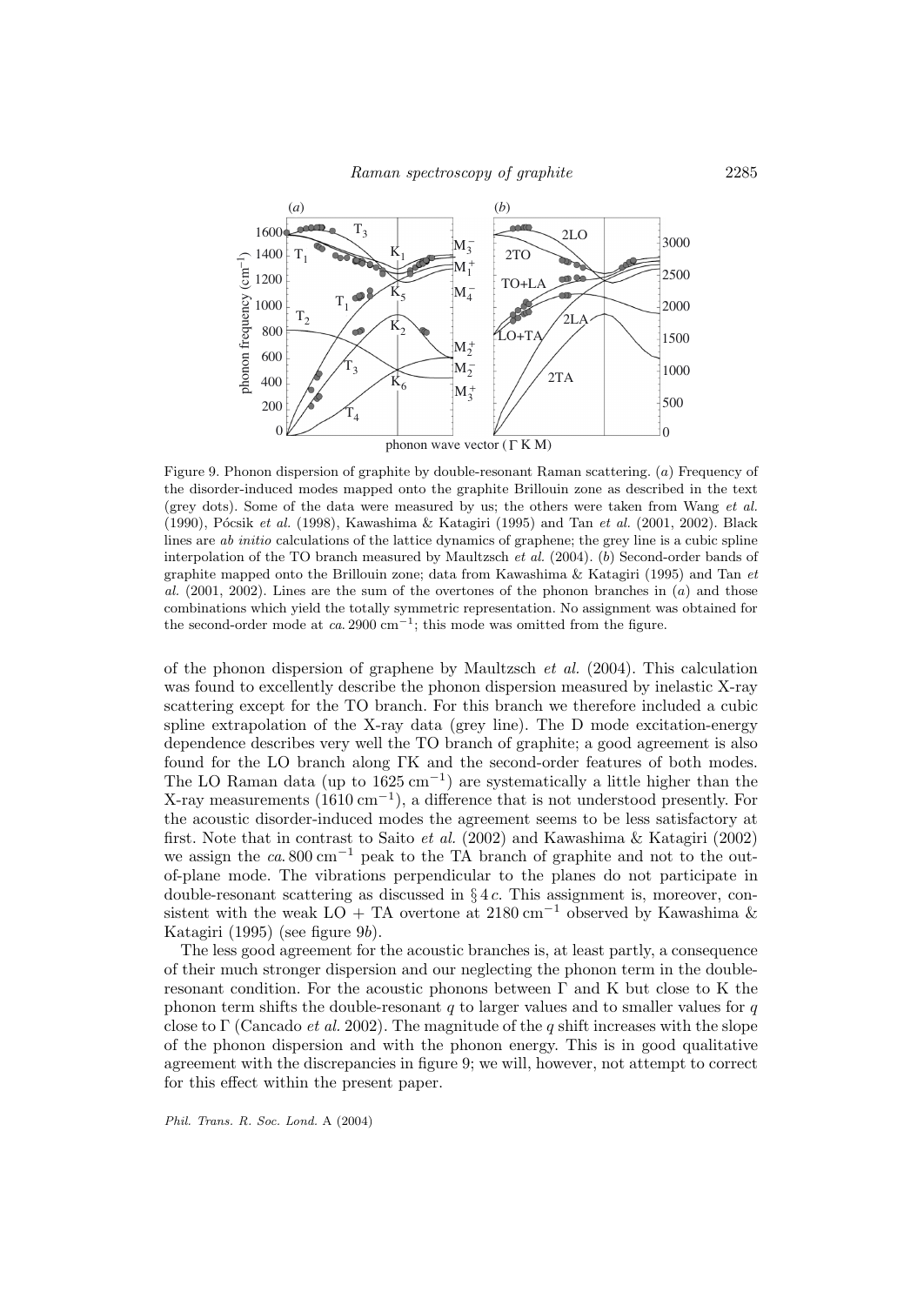

Figure 9. Phonon dispersion of graphite by double-resonant Raman scattering. (a) Frequency of the disorder-induced modes mapped onto the graphite Brillouin zone as described in the text (grey dots). Some of the data were measured by us; the others were taken from Wang et al. (1990), Pócsik et al. (1998), Kawashima & Katagiri (1995) and Tan et al. (2001, 2002). Black lines are ab initio calculations of the lattice dynamics of graphene; the grey line is a cubic spline interpolation of the TO branch measured by Maultzsch et al. (2004). (b) Second-order bands of graphite mapped onto the Brillouin zone; data from Kawashima & Katagiri (1995) and Tan et al.  $(2001, 2002)$ . Lines are the sum of the overtones of the phonon branches in  $(a)$  and those combinations which yield the totally symmetric representation. No assignment was obtained for the second-order mode at  $ca. 2900 \text{ cm}^{-1}$ ; this mode was omitted from the figure.

of the phonon dispersion of graphene by Maultzsch *et al.* (2004). This calculation was found to excellently describe the phonon dispersion measured by inelastic X-ray scattering except for the TO branch. For this branch we therefore included a cubic spline extrapolation of the X-ray data (grey line). The D mode excitation-energy dependence describes very well the TO branch of graphite; a good agreement is also found for the LO branch along ΓK and the second-order features of both modes. The LO Raman data (up to  $1625 \text{ cm}^{-1}$ ) are systematically a little higher than the X-ray measurements  $(1610 \text{ cm}^{-1})$ , a difference that is not understood presently. For the acoustic disorder-induced modes the agreement seems to be less satisfactory at first. Note that in contrast to Saito et al. (2002) and Kawashima & Katagiri (2002) we assign the  $ca.800 \text{ cm}^{-1}$  peak to the TA branch of graphite and not to the outof-plane mode. The vibrations perpendicular to the planes do not participate in double-resonant scattering as discussed in  $§ 4c$ . This assignment is, moreover, consistent with the weak LO + TA overtone at  $2180 \text{ cm}^{-1}$  observed by Kawashima & Katagiri (1995) (see figure 9b).

The less good agreement for the acoustic branches is, at least partly, a consequence of their much stronger dispersion and our neglecting the phonon term in the doubleresonant condition. For the acoustic phonons between  $\Gamma$  and K but close to K the phonon term shifts the double-resonant  $q$  to larger values and to smaller values for  $q$ close to Γ (Cancado *et al.* 2002). The magnitude of the q shift increases with the slope of the phonon dispersion and with the phonon energy. This is in good qualitative agreement with the discrepancies in figure 9; we will, however, not attempt to correct for this effect within the present paper.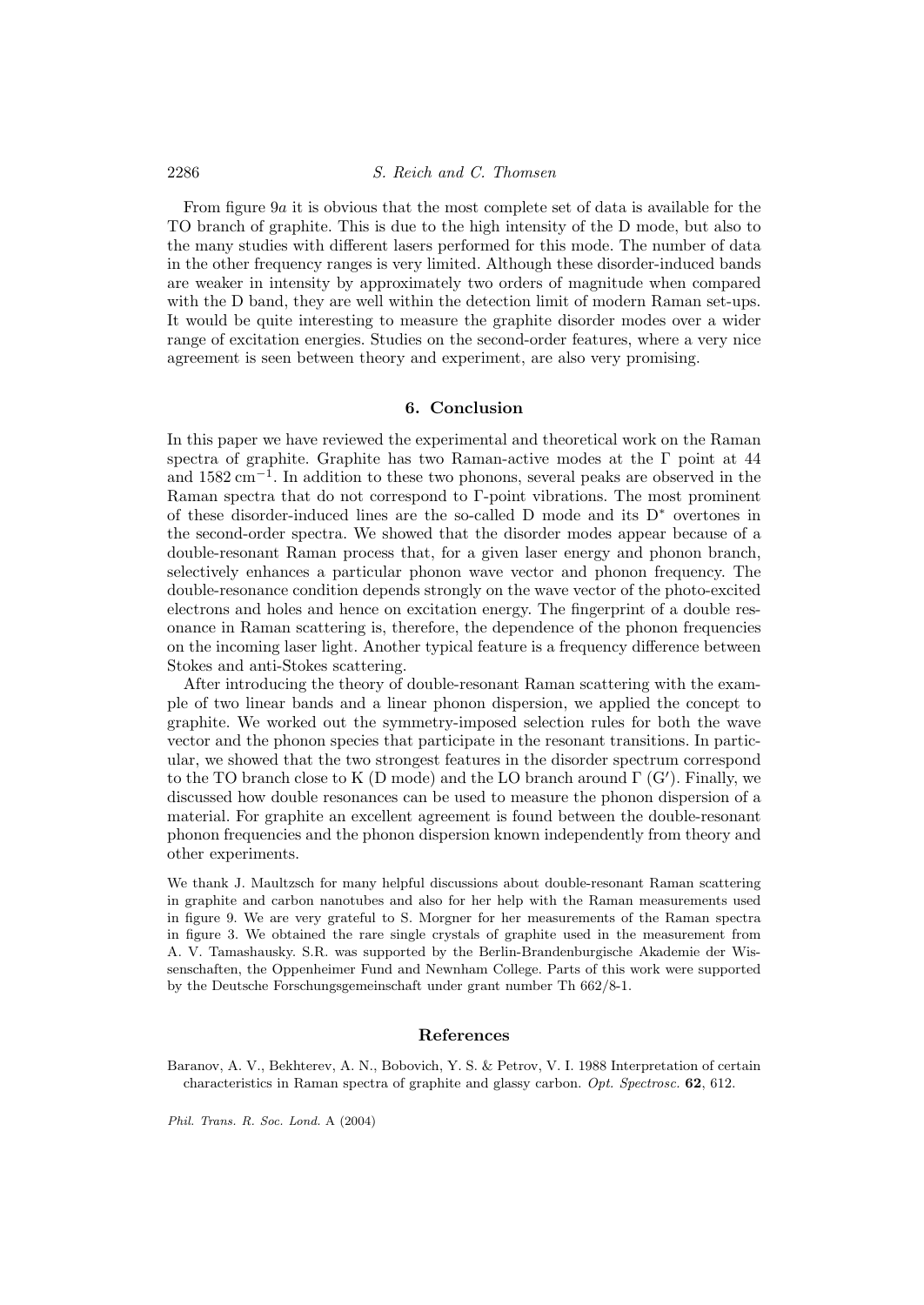From figure 9a it is obvious that the most complete set of data is available for the TO branch of graphite. This is due to the high intensity of the D mode, but also to the many studies with different lasers performed for this mode. The number of data in the other frequency ranges is very limited. Although these disorder-induced bands are weaker in intensity by approximately two orders of magnitude when compared with the D band, they are well within the detection limit of modern Raman set-ups. It would be quite interesting to measure the graphite disorder modes over a wider range of excitation energies. Studies on the second-order features, where a very nice agreement is seen between theory and experiment, are also very promising.

## **6. Conclusion**

In this paper we have reviewed the experimental and theoretical work on the Raman spectra of graphite. Graphite has two Raman-active modes at the Γ point at 44 and 1582 cm−<sup>1</sup>. In addition to these two phonons, several peaks are observed in the Raman spectra that do not correspond to Γ-point vibrations. The most prominent of these disorder-induced lines are the so-called D mode and its  $D^*$  overtones in the second-order spectra. We showed that the disorder modes appear because of a double-resonant Raman process that, for a given laser energy and phonon branch, selectively enhances a particular phonon wave vector and phonon frequency. The double-resonance condition depends strongly on the wave vector of the photo-excited electrons and holes and hence on excitation energy. The fingerprint of a double resonance in Raman scattering is, therefore, the dependence of the phonon frequencies on the incoming laser light. Another typical feature is a frequency difference between Stokes and anti-Stokes scattering.

After introducing the theory of double-resonant Raman scattering with the example of two linear bands and a linear phonon dispersion, we applied the concept to graphite. We worked out the symmetry-imposed selection rules for both the wave vector and the phonon species that participate in the resonant transitions. In particular, we showed that the two strongest features in the disorder spectrum correspond to the TO branch close to K (D mode) and the LO branch around  $\Gamma$  (G'). Finally, we discussed how double resonances can be used to measure the phonon dispersion of a material. For graphite an excellent agreement is found between the double-resonant phonon frequencies and the phonon dispersion known independently from theory and other experiments.

We thank J. Maultzsch for many helpful discussions about double-resonant Raman scattering in graphite and carbon nanotubes and also for her help with the Raman measurements used in figure 9. We are very grateful to S. Morgner for her measurements of the Raman spectra in figure 3. We obtained the rare single crystals of graphite used in the measurement from A. V. Tamashausky. S.R. was supported by the Berlin-Brandenburgische Akademie der Wissenschaften, the Oppenheimer Fund and Newnham College. Parts of this work were supported by the Deutsche Forschungsgemeinschaft under grant number Th 662/8-1.

## **References**

Baranov, A. V., Bekhterev, A. N., Bobovich, Y. S. & Petrov, V. I. 1988 Interpretation of certain characteristics in Raman spectra of graphite and glassy carbon. Opt. Spectrosc. **62**, 612.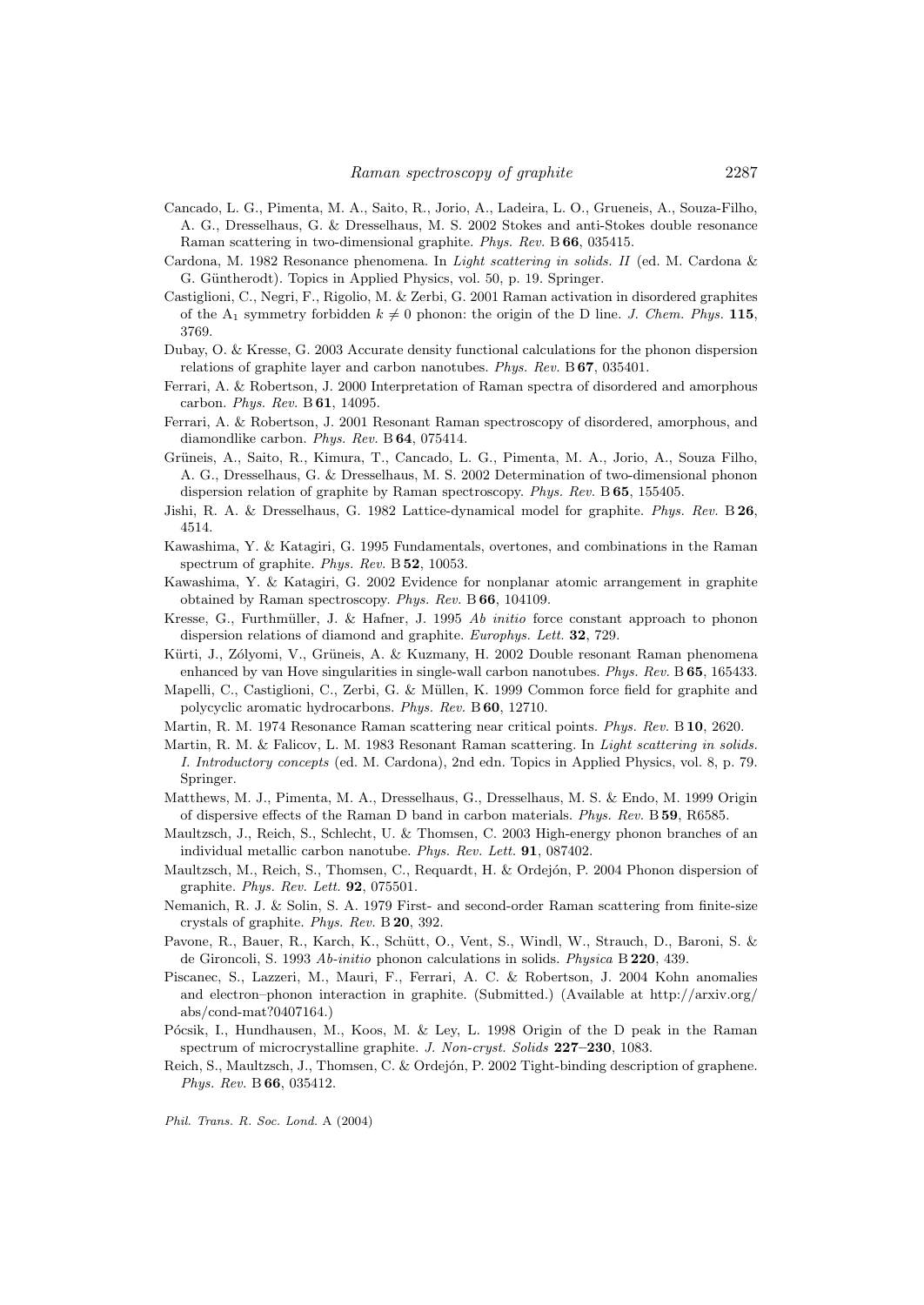- Cancado, L. G., Pimenta, M. A., Saito, R., Jorio, A., Ladeira, L. O., Grueneis, A., Souza-Filho, A. G., Dresselhaus, G. & Dresselhaus, M. S. 2002 Stokes and anti-Stokes double resonance Raman scattering in two-dimensional graphite. Phys. Rev. B **66**, 035415.
- Cardona, M. 1982 Resonance phenomena. In Light scattering in solids. II (ed. M. Cardona & G. Güntherodt). Topics in Applied Physics, vol. 50, p. 19. Springer.
- Castiglioni, C., Negri, F., Rigolio, M. & Zerbi, G. 2001 Raman activation in disordered graphites of the  $A_1$  symmetry forbidden  $k \neq 0$  phonon: the origin of the D line. *J. Chem. Phys.* 115, 3769.
- Dubay, O. & Kresse, G. 2003 Accurate density functional calculations for the phonon dispersion relations of graphite layer and carbon nanotubes. Phys. Rev. B **67**, 035401.
- Ferrari, A. & Robertson, J. 2000 Interpretation of Raman spectra of disordered and amorphous carbon. Phys. Rev. B **61**, 14095.
- Ferrari, A. & Robertson, J. 2001 Resonant Raman spectroscopy of disordered, amorphous, and diamondlike carbon. Phys. Rev. B **64**, 075414.
- Grüneis, A., Saito, R., Kimura, T., Cancado, L. G., Pimenta, M. A., Jorio, A., Souza Filho, A. G., Dresselhaus, G. & Dresselhaus, M. S. 2002 Determination of two-dimensional phonon dispersion relation of graphite by Raman spectroscopy. Phys. Rev. B **65**, 155405.
- Jishi, R. A. & Dresselhaus, G. 1982 Lattice-dynamical model for graphite. Phys. Rev. B **26**, 4514.
- Kawashima, Y. & Katagiri, G. 1995 Fundamentals, overtones, and combinations in the Raman spectrum of graphite. Phys. Rev. B **52**, 10053.
- Kawashima, Y. & Katagiri, G. 2002 Evidence for nonplanar atomic arrangement in graphite obtained by Raman spectroscopy. Phys. Rev. B **66**, 104109.
- Kresse, G., Furthmüller, J. & Hafner, J. 1995 Ab *initio* force constant approach to phonon dispersion relations of diamond and graphite. Europhys. Lett. **32**, 729.
- Kürti, J., Zólyomi, V., Grüneis, A. & Kuzmany, H. 2002 Double resonant Raman phenomena enhanced by van Hove singularities in single-wall carbon nanotubes. Phys. Rev. B **65**, 165433.
- Mapelli, C., Castiglioni, C., Zerbi, G. & Müllen, K. 1999 Common force field for graphite and polycyclic aromatic hydrocarbons. Phys. Rev. B **60**, 12710.
- Martin, R. M. 1974 Resonance Raman scattering near critical points. Phys. Rev. B **10**, 2620.
- Martin, R. M. & Falicov, L. M. 1983 Resonant Raman scattering. In *Light scattering in solids.* I. Introductory concepts (ed. M. Cardona), 2nd edn. Topics in Applied Physics, vol. 8, p. 79. Springer.
- Matthews, M. J., Pimenta, M. A., Dresselhaus, G., Dresselhaus, M. S. & Endo, M. 1999 Origin of dispersive effects of the Raman D band in carbon materials. Phys. Rev. B **59**, R6585.
- Maultzsch, J., Reich, S., Schlecht, U. & Thomsen, C. 2003 High-energy phonon branches of an individual metallic carbon nanotube. Phys. Rev. Lett. **91**, 087402.
- Maultzsch, M., Reich, S., Thomsen, C., Requardt, H. & Ordejón, P. 2004 Phonon dispersion of graphite. Phys. Rev. Lett. **92**, 075501.
- Nemanich, R. J. & Solin, S. A. 1979 First- and second-order Raman scattering from finite-size crystals of graphite. Phys. Rev. B **20**, 392.
- Pavone, R., Bauer, R., Karch, K., Schütt, O., Vent, S., Windl, W., Strauch, D., Baroni, S. & de Gironcoli, S. 1993 Ab-initio phonon calculations in solids. Physica B **220**, 439.
- Piscanec, S., Lazzeri, M., Mauri, F., Ferrari, A. C. & Robertson, J. 2004 Kohn anomalies and electron–phonon interaction in graphite. (Submitted.) (Available at http://arxiv.org/ abs/cond-mat?0407164.)
- Pócsik, I., Hundhausen, M., Koos, M. & Ley, L. 1998 Origin of the D peak in the Raman spectrum of microcrystalline graphite. J. Non-cryst. Solids **227–230**, 1083.
- Reich, S., Maultzsch, J., Thomsen, C. & Ordejón, P. 2002 Tight-binding description of graphene. Phys. Rev. B **66**, 035412.